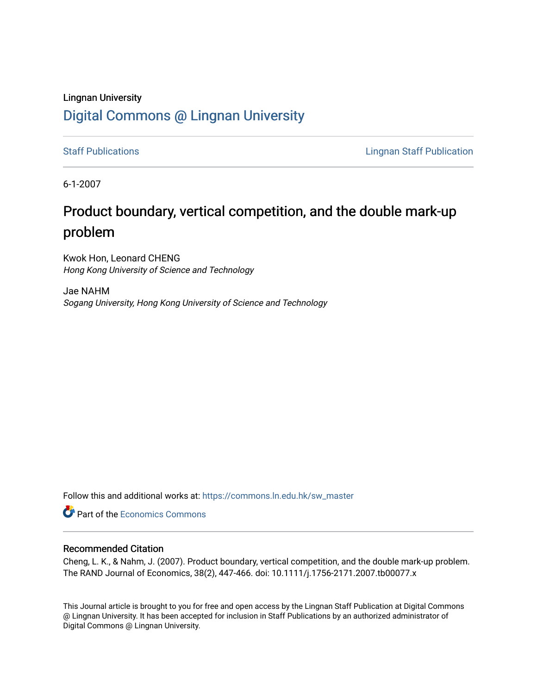# Lingnan University [Digital Commons @ Lingnan University](https://commons.ln.edu.hk/)

[Staff Publications](https://commons.ln.edu.hk/sw_master) **Staff Publications Lingnan Staff Publication** 

6-1-2007

# Product boundary, vertical competition, and the double mark-up problem

Kwok Hon, Leonard CHENG Hong Kong University of Science and Technology

Jae NAHM Sogang University, Hong Kong University of Science and Technology

Follow this and additional works at: [https://commons.ln.edu.hk/sw\\_master](https://commons.ln.edu.hk/sw_master?utm_source=commons.ln.edu.hk%2Fsw_master%2F1515&utm_medium=PDF&utm_campaign=PDFCoverPages) 

**Part of the [Economics Commons](http://network.bepress.com/hgg/discipline/340?utm_source=commons.ln.edu.hk%2Fsw_master%2F1515&utm_medium=PDF&utm_campaign=PDFCoverPages)** 

## Recommended Citation

Cheng, L. K., & Nahm, J. (2007). Product boundary, vertical competition, and the double mark-up problem. The RAND Journal of Economics, 38(2), 447-466. doi: 10.1111/j.1756-2171.2007.tb00077.x

This Journal article is brought to you for free and open access by the Lingnan Staff Publication at Digital Commons @ Lingnan University. It has been accepted for inclusion in Staff Publications by an authorized administrator of Digital Commons @ Lingnan University.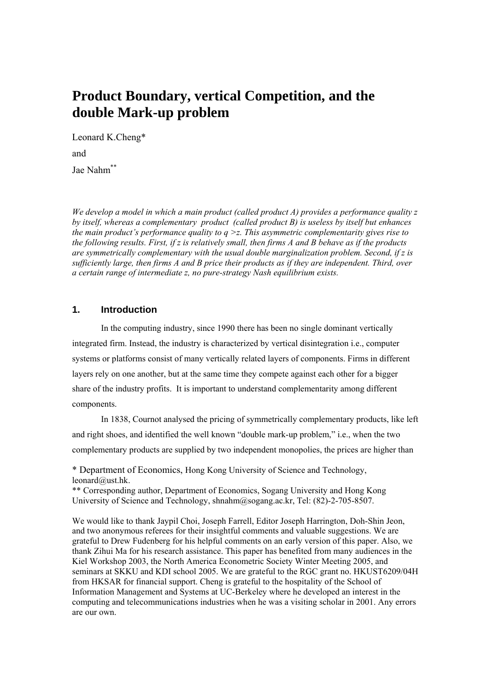# **Product Boundary, vertical Competition, and the double Mark-up problem**

Leonard K.Cheng\* and

Jae Nahm\*\*

*We develop a model in which a main product (called product A) provides a performance quality z by itself, whereas a complementary product (called product B) is useless by itself but enhances the main product's performance quality to q >z. This asymmetric complementarity gives rise to the following results. First, if z is relatively small, then firms A and B behave as if the products are symmetrically complementary with the usual double marginalization problem. Second, if z is sufficiently large, then firms A and B price their products as if they are independent. Third, over a certain range of intermediate z, no pure-strategy Nash equilibrium exists.* 

## **1. Introduction**

In the computing industry, since 1990 there has been no single dominant vertically integrated firm. Instead, the industry is characterized by vertical disintegration i.e., computer systems or platforms consist of many vertically related layers of components. Firms in different layers rely on one another, but at the same time they compete against each other for a bigger share of the industry profits. It is important to understand complementarity among different components.

In 1838, Cournot analysed the pricing of symmetrically complementary products, like left and right shoes, and identified the well known "double mark-up problem," i.e., when the two complementary products are supplied by two independent monopolies, the prices are higher than

\* Department of Economics, Hong Kong University of Science and Technology, leonard@ust.hk.

\*\* Corresponding author, Department of Economics, Sogang University and Hong Kong University of Science and Technology, shnahm@sogang.ac.kr, Tel: (82)-2-705-8507.

We would like to thank Jaypil Choi, Joseph Farrell, Editor Joseph Harrington, Doh-Shin Jeon, and two anonymous referees for their insightful comments and valuable suggestions. We are grateful to Drew Fudenberg for his helpful comments on an early version of this paper. Also, we thank Zihui Ma for his research assistance. This paper has benefited from many audiences in the Kiel Workshop 2003, the North America Econometric Society Winter Meeting 2005, and seminars at SKKU and KDI school 2005. We are grateful to the RGC grant no. HKUST6209/04H from HKSAR for financial support. Cheng is grateful to the hospitality of the School of Information Management and Systems at UC-Berkeley where he developed an interest in the computing and telecommunications industries when he was a visiting scholar in 2001. Any errors are our own.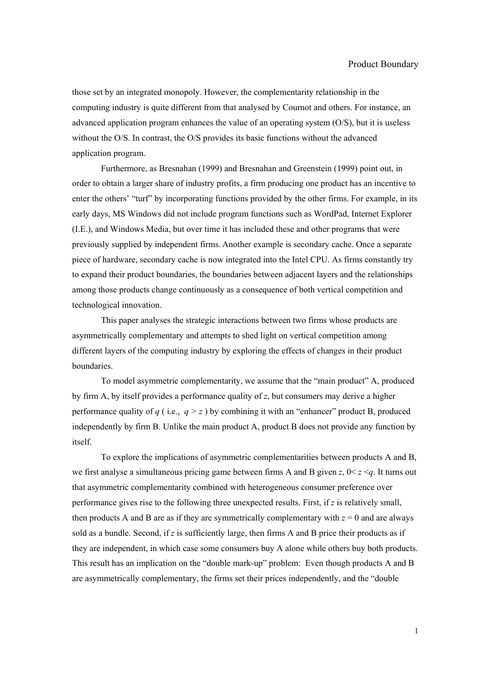those set by an integrated monopoly. However, the complementarity relationship in the computing industry is quite different from that analysed by Cournot and others. For instance, an advanced application program enhances the value of an operating system  $(O/S)$ , but it is useless without the O/S. In contrast, the O/S provides its basic functions without the advanced application program.

Furthermore, as Bresnahan (1999) and Bresnahan and Greenstein (1999) point out, in order to obtain a larger share of industry profits, a firm producing one product has an incentive to enter the others' "turf" by incorporating functions provided by the other firms. For example, in its early days, MS Windows did not include program functions such as WordPad, Internet Explorer (I.E.), and Windows Media, but over time it has included these and other programs that were previously supplied by independent firms. Another example is secondary cache. Once a separate piece of hardware, secondary cache is now integrated into the Intel CPU. As firms constantly try to expand their product boundaries, the boundaries between adjacent layers and the relationships among those products change continuously as a consequence of both vertical competition and technological innovation.

This paper analyses the strategic interactions between two firms whose products are asymmetrically complementary and attempts to shed light on vertical competition among different layers of the computing industry by exploring the effects of changes in their product boundaries.

To model asymmetric complementarity, we assume that the "main product" A, produced by firm A, by itself provides a performance quality of *z*, but consumers may derive a higher performance quality of *q* (i.e.,  $q > z$ ) by combining it with an "enhancer" product B, produced independently by firm B. Unlike the main product A, product B does not provide any function by itself.

To explore the implications of asymmetric complementarities between products A and B, we first analyse a simultaneous pricing game between firms A and B given  $z$ ,  $0 < z < q$ . It turns out that asymmetric complementarity combined with heterogeneous consumer preference over performance gives rise to the following three unexpected results. First, if *z* is relatively small, then products A and B are as if they are symmetrically complementary with  $z = 0$  and are always sold as a bundle. Second, if *z* is sufficiently large, then firms A and B price their products as if they are independent, in which case some consumers buy A alone while others buy both products. This result has an implication on the "double mark-up" problem: Even though products A and B are asymmetrically complementary, the firms set their prices independently, and the "double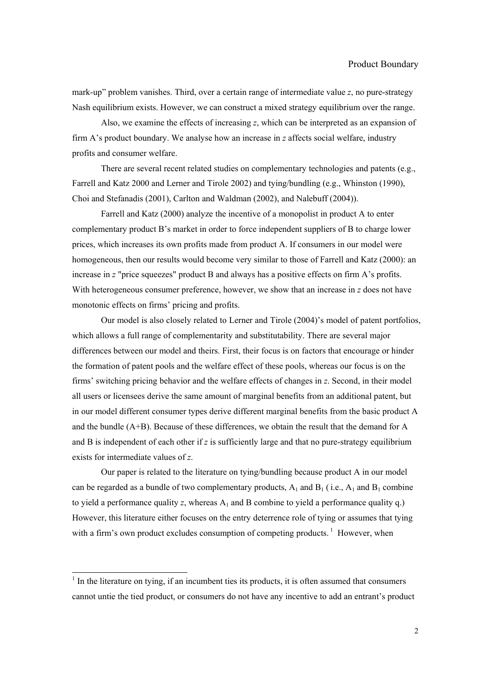mark-up" problem vanishes. Third, over a certain range of intermediate value *z*, no pure-strategy Nash equilibrium exists. However, we can construct a mixed strategy equilibrium over the range.

Also, we examine the effects of increasing *z*, which can be interpreted as an expansion of firm A's product boundary. We analyse how an increase in *z* affects social welfare, industry profits and consumer welfare.

There are several recent related studies on complementary technologies and patents (e.g., Farrell and Katz 2000 and Lerner and Tirole 2002) and tying/bundling (e.g., Whinston (1990), Choi and Stefanadis (2001), Carlton and Waldman (2002), and Nalebuff (2004)).

 Farrell and Katz (2000) analyze the incentive of a monopolist in product A to enter complementary product B's market in order to force independent suppliers of B to charge lower prices, which increases its own profits made from product A. If consumers in our model were homogeneous, then our results would become very similar to those of Farrell and Katz (2000): an increase in *z* "price squeezes" product B and always has a positive effects on firm A's profits. With heterogeneous consumer preference, however, we show that an increase in *z* does not have monotonic effects on firms' pricing and profits.

Our model is also closely related to Lerner and Tirole (2004)'s model of patent portfolios, which allows a full range of complementarity and substitutability. There are several major differences between our model and theirs. First, their focus is on factors that encourage or hinder the formation of patent pools and the welfare effect of these pools, whereas our focus is on the firms' switching pricing behavior and the welfare effects of changes in *z*. Second, in their model all users or licensees derive the same amount of marginal benefits from an additional patent, but in our model different consumer types derive different marginal benefits from the basic product A and the bundle (A+B). Because of these differences, we obtain the result that the demand for A and B is independent of each other if *z* is sufficiently large and that no pure-strategy equilibrium exists for intermediate values of *z*.

Our paper is related to the literature on tying/bundling because product A in our model can be regarded as a bundle of two complementary products,  $A_1$  and  $B_1$  (i.e.,  $A_1$  and  $B_1$  combine to yield a performance quality  $z$ , whereas  $A_1$  and B combine to yield a performance quality q.) However, this literature either focuses on the entry deterrence role of tying or assumes that tying with a firm's own product excludes consumption of competing products.<sup>1</sup> However, when

l

 $<sup>1</sup>$  In the literature on tying, if an incumbent ties its products, it is often assumed that consumers</sup> cannot untie the tied product, or consumers do not have any incentive to add an entrant's product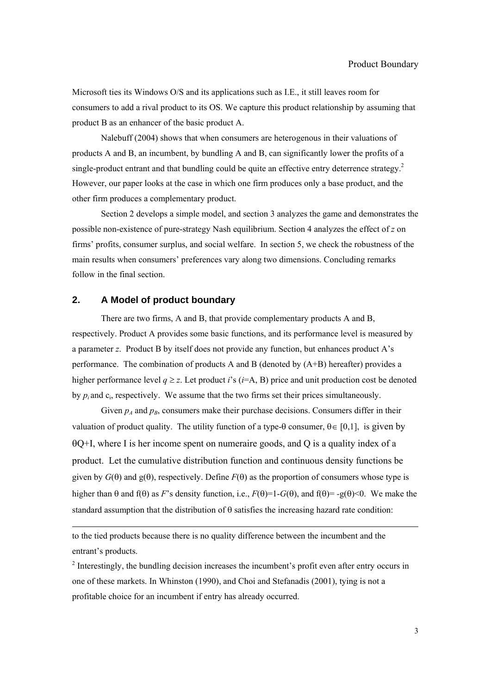Microsoft ties its Windows O/S and its applications such as I.E., it still leaves room for consumers to add a rival product to its OS. We capture this product relationship by assuming that product B as an enhancer of the basic product A.

Nalebuff (2004) shows that when consumers are heterogenous in their valuations of products A and B, an incumbent, by bundling A and B, can significantly lower the profits of a single-product entrant and that bundling could be quite an effective entry deterrence strategy.<sup>2</sup> However, our paper looks at the case in which one firm produces only a base product, and the other firm produces a complementary product.

Section 2 develops a simple model, and section 3 analyzes the game and demonstrates the possible non-existence of pure-strategy Nash equilibrium. Section 4 analyzes the effect of *z* on firms' profits, consumer surplus, and social welfare. In section 5, we check the robustness of the main results when consumers' preferences vary along two dimensions. Concluding remarks follow in the final section.

## **2. A Model of product boundary**

 $\overline{a}$ 

There are two firms, A and B, that provide complementary products A and B, respectively. Product A provides some basic functions, and its performance level is measured by a parameter *z*. Product B by itself does not provide any function, but enhances product A's performance. The combination of products A and B (denoted by (A+B) hereafter) provides a higher performance level  $q \ge z$ . Let product *i*'s (*i*=A, B) price and unit production cost be denoted by *pi* and ci, respectively. We assume that the two firms set their prices simultaneously.

Given  $p_A$  and  $p_B$ , consumers make their purchase decisions. Consumers differ in their valuation of product quality. The utility function of a type- $\theta$  consumer,  $\theta \in [0,1]$ , is given by θQ+I, where I is her income spent on numeraire goods, and Q is a quality index of a product. Let the cumulative distribution function and continuous density functions be given by  $G(\theta)$  and  $g(\theta)$ , respectively. Define  $F(\theta)$  as the proportion of consumers whose type is higher than  $\theta$  and  $f(\theta)$  as *F*'s density function, i.e.,  $F(\theta)=1-G(\theta)$ , and  $f(\theta)= -g(\theta) < 0$ . We make the standard assumption that the distribution of  $\theta$  satisfies the increasing hazard rate condition:

to the tied products because there is no quality difference between the incumbent and the entrant's products.

 $2$  Interestingly, the bundling decision increases the incumbent's profit even after entry occurs in one of these markets. In Whinston (1990), and Choi and Stefanadis (2001), tying is not a profitable choice for an incumbent if entry has already occurred.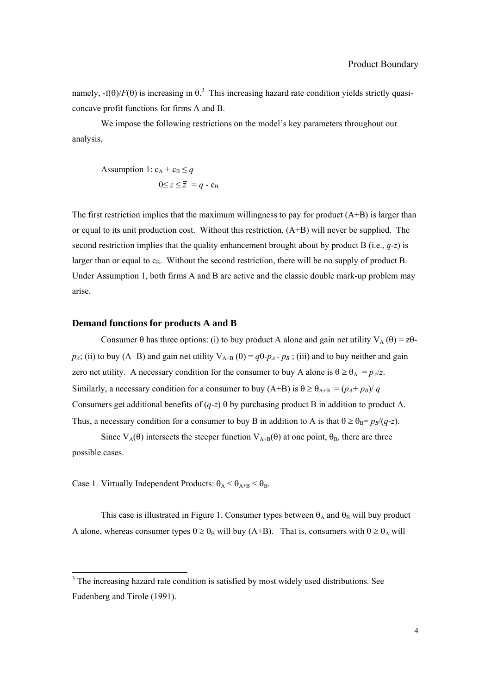namely,  $-f(\theta)/F(\theta)$  is increasing in  $\theta$ .<sup>3</sup> This increasing hazard rate condition yields strictly quasiconcave profit functions for firms A and B.

We impose the following restrictions on the model's key parameters throughout our analysis,

Assumption 1: 
$$
c_A + c_B \le q
$$
  
 $0 \le z \le \overline{z} = q - c_B$ 

The first restriction implies that the maximum willingness to pay for product  $(A+B)$  is larger than or equal to its unit production cost. Without this restriction, (A+B) will never be supplied. The second restriction implies that the quality enhancement brought about by product B (i.e., *q-z*) is larger than or equal to  $c_B$ . Without the second restriction, there will be no supply of product B. Under Assumption 1, both firms A and B are active and the classic double mark-up problem may arise.

#### **Demand functions for products A and B**

Consumer  $\theta$  has three options: (i) to buy product A alone and gain net utility  $V_A(\theta) = z\theta$  $p_A$ ; (ii) to buy (A+B) and gain net utility  $V_{A+B}(\theta) = q\theta - p_A - p_B$ ; (iii) and to buy neither and gain zero net utility. A necessary condition for the consumer to buy A alone is  $\theta \ge \theta_A = p_A/z$ . Similarly, a necessary condition for a consumer to buy (A+B) is  $\theta \ge \theta_{A+B} = (p_A + p_B)/q$ . Consumers get additional benefits of (*q*-*z*) θ by purchasing product B in addition to product A. Thus, a necessary condition for a consumer to buy B in addition to A is that  $\theta \ge \theta_B = p_B/(q-z)$ .

Since  $V_A(\theta)$  intersects the steeper function  $V_{A+B}(\theta)$  at one point,  $\theta_B$ , there are three possible cases.

Case 1. Virtually Independent Products:  $\theta_A < \theta_{A+B} < \theta_B$ .

This case is illustrated in Figure 1. Consumer types between  $\theta_A$  and  $\theta_B$  will buy product A alone, whereas consumer types  $\theta \ge \theta_B$  will buy (A+B). That is, consumers with  $\theta \ge \theta_A$  will

<sup>&</sup>lt;sup>3</sup> The increasing hazard rate condition is satisfied by most widely used distributions. See Fudenberg and Tirole (1991).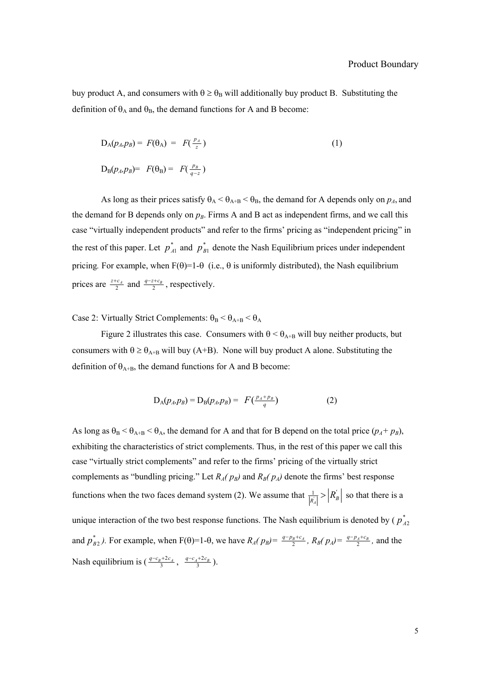buy product A, and consumers with  $\theta \ge \theta_B$  will additionally buy product B. Substituting the definition of  $\theta_A$  and  $\theta_B$ , the demand functions for A and B become:

$$
D_A(p_A, p_B) = F(\theta_A) = F(\frac{p_A}{z})
$$
\n
$$
D_B(p_A, p_B) = F(\theta_B) = F(\frac{p_B}{q-z})
$$
\n(1)

As long as their prices satisfy  $\theta_A < \theta_{A+B} < \theta_B$ , the demand for A depends only on  $p_A$ , and the demand for B depends only on  $p_B$ . Firms A and B act as independent firms, and we call this case "virtually independent products" and refer to the firms' pricing as "independent pricing" in the rest of this paper. Let  $p_{A1}^*$  and  $p_{B1}^*$  denote the Nash Equilibrium prices under independent pricing. For example, when  $F(\theta)=1-\theta$  (i.e.,  $\theta$  is uniformly distributed), the Nash equilibrium prices are  $\frac{z+c_A}{2}$  and  $\frac{q-z+c_B}{2}$ , respectively.

Case 2: Virtually Strict Complements:  $\theta_B < \theta_{A+B} < \theta_A$ 

Figure 2 illustrates this case. Consumers with  $\theta < \theta_{A+B}$  will buy neither products, but consumers with  $\theta \ge \theta_{A+B}$  will buy (A+B). None will buy product A alone. Substituting the definition of  $\theta_{A+B}$ , the demand functions for A and B become:

$$
D_{A}(p_{A}, p_{B}) = D_{B}(p_{A}, p_{B}) = F(\frac{p_{A} + p_{B}}{q})
$$
 (2)

As long as  $\theta_B < \theta_{A+B} < \theta_A$ , the demand for A and that for B depend on the total price  $(p_A + p_B)$ , exhibiting the characteristics of strict complements. Thus, in the rest of this paper we call this case "virtually strict complements" and refer to the firms' pricing of the virtually strict complements as "bundling pricing." Let  $R_A(p_B)$  and  $R_B(p_A)$  denote the firms' best response functions when the two faces demand system (2). We assume that  $\frac{1}{|R_A|} > |R_B|$  so that there is a unique interaction of the two best response functions. The Nash equilibrium is denoted by ( $p_{A2}^*$ and  $p_{B2}^*$ ). For example, when F( $\theta$ )=1- $\theta$ , we have  $R_A(p_B) = \frac{q-p_B+c_A}{2}$ ,  $R_B(p_A) = \frac{q-p_A+c_B}{2}$ , and the Nash equilibrium is  $\left(\frac{q-c_B+2c_A}{3}, \frac{q-c_A+2c_B}{3}\right)$ .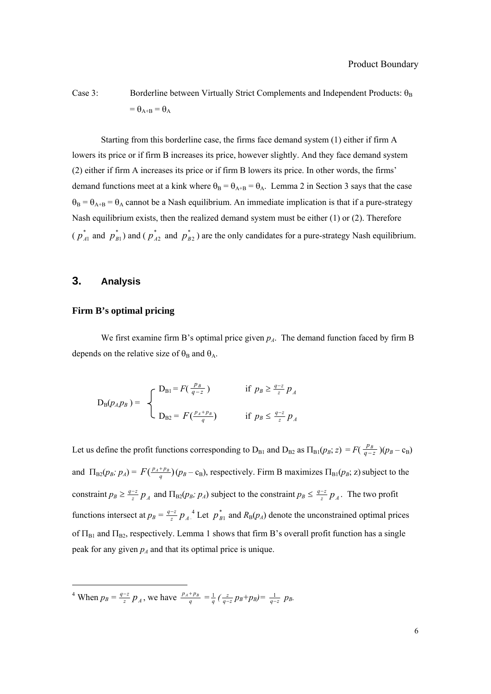Case 3: Borderline between Virtually Strict Complements and Independent Products:  $\theta_B$  $=\theta_{A+B} = \theta_A$ 

Starting from this borderline case, the firms face demand system (1) either if firm A lowers its price or if firm B increases its price, however slightly. And they face demand system (2) either if firm A increases its price or if firm B lowers its price. In other words, the firms' demand functions meet at a kink where  $\theta_B = \theta_{A+B} = \theta_A$ . Lemma 2 in Section 3 says that the case  $\theta_B = \theta_{A+B} = \theta_A$  cannot be a Nash equilibrium. An immediate implication is that if a pure-strategy Nash equilibrium exists, then the realized demand system must be either (1) or (2). Therefore  $(p_{A1}^*$  and  $p_{B1}^*$ ) and  $(p_{A2}^*$  and  $p_{B2}^*$ ) are the only candidates for a pure-strategy Nash equilibrium.

## **3. Analysis**

l

## **Firm B's optimal pricing**

We first examine firm B's optimal price given  $p_A$ . The demand function faced by firm B depends on the relative size of  $\theta_B$  and  $\theta_A$ .

$$
D_B(p_A p_B) = \begin{cases} D_{B1} = F\left(\frac{p_B}{q-z}\right) & \text{if } p_B \ge \frac{q-z}{z} p_A \\ D_{B2} = F\left(\frac{p_A + p_B}{q}\right) & \text{if } p_B \le \frac{q-z}{z} p_A \end{cases}
$$

Let us define the profit functions corresponding to  $D_{B1}$  and  $D_{B2}$  as  $\Pi_{B1}(p_B; z) = F(\frac{p_B}{q-z})(p_B - c_B)$ and  $\Pi_{B2}(p_B; p_A) = F(\frac{p_A + p_B}{q})(p_B - c_B)$ , respectively. Firm B maximizes  $\Pi_{B1}(p_B; z)$  subject to the constraint  $p_B \ge \frac{q-z}{z} p_A$  and  $\Pi_{B2}(p_B; p_A)$  subject to the constraint  $p_B \le \frac{q-z}{z} p_A$ . The two profit functions intersect at  $p_B = \frac{q-z}{z} p_A^4$ . Let  $p_{B1}^*$  and  $R_B(p_A)$  denote the unconstrained optimal prices of  $\Pi_{B1}$  and  $\Pi_{B2}$ , respectively. Lemma 1 shows that firm B's overall profit function has a single peak for any given  $p_A$  and that its optimal price is unique.

<sup>4</sup> When  $p_B = \frac{q-z}{z} p_A$ , we have  $\frac{p_A + p_B}{q} = \frac{1}{q} (\frac{z}{q-z} p_B + p_B) = \frac{1}{q-z} p_B$ .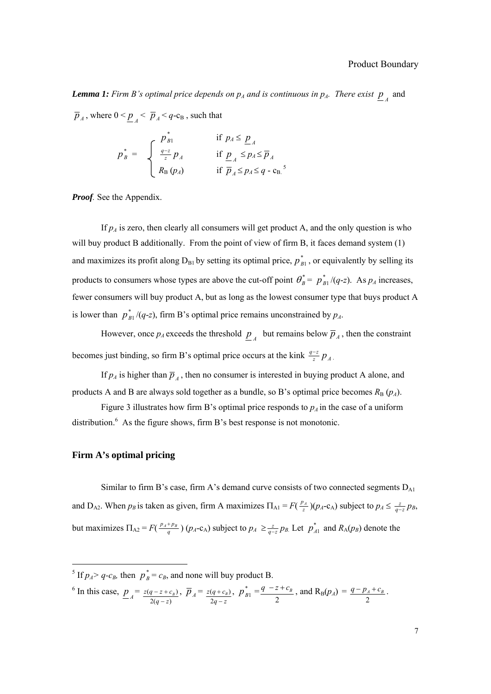**Lemma 1:** Firm B's optimal price depends on  $p_A$  and is continuous in  $p_A$ . There exist  $\overline{p}_A$  and

 $\overline{p}_A$ , where  $0 < p_A < \overline{p}_A < q$ -c<sub>B</sub>, such that

$$
p_B^* = \begin{cases} p_{B1}^* & \text{if } p_A \leq \underline{p}_A \\ \frac{q-z}{z} p_A & \text{if } \underline{p}_A \leq p_A \leq \overline{p}_A \\ R_B(p_A) & \text{if } \overline{p}_A \leq p_A \leq q - c_B \end{cases}
$$

*Proof.* See the Appendix.

If  $p_A$  is zero, then clearly all consumers will get product A, and the only question is who will buy product B additionally. From the point of view of firm B, it faces demand system (1) and maximizes its profit along  $D_{B1}$  by setting its optimal price,  $p_{B1}^*$ , or equivalently by selling its products to consumers whose types are above the cut-off point  $\theta_B^* = p_{B1}^* / (q-z)$ . As  $p_A$  increases, fewer consumers will buy product A, but as long as the lowest consumer type that buys product A is lower than  $p_{B1}^* / (q-z)$ , firm B's optimal price remains unconstrained by  $p_A$ .

However, once  $p_A$  exceeds the threshold  $\underline{p}_A$  but remains below  $\overline{p}_A$ , then the constraint becomes just binding, so firm B's optimal price occurs at the kink  $\frac{q-z}{z} p_A$ .

If  $p_A$  is higher than  $\overline{p}_A$ , then no consumer is interested in buying product A alone, and products A and B are always sold together as a bundle, so B's optimal price becomes  $R_B(p_A)$ .

Figure 3 illustrates how firm B's optimal price responds to  $p_A$  in the case of a uniform distribution. $6$  As the figure shows, firm B's best response is not monotonic.

## **Firm A's optimal pricing**

 $\overline{a}$ 

Similar to firm B's case, firm A's demand curve consists of two connected segments  $D_{A1}$ and  $D_{A2}$ . When  $p_B$  is taken as given, firm A maximizes  $\Pi_{A1} = F(\frac{p_A}{z})(p_A - c_A)$  subject to  $p_A \leq \frac{z}{q-z} p_B$ , but maximizes  $\Pi_{A2} = F(\frac{p_A + p_B}{q}) (p_A - c_A)$  subject to  $p_A \ge \frac{z}{q-z} p_B$ . Let  $p_A^*$  and  $R_A(p_B)$  denote the

<sup>&</sup>lt;sup>5</sup> If  $p_A > q$ - $c_B$ , then  $p_B^* = c_B$ , and none will buy product B.

<sup>&</sup>lt;sup>6</sup> In this case,  $\underline{p}_A = \frac{z(q-z+c)}{2(q-z)}$  $(q - z + c_{R})$  $q - z$  $z(q-z+c_B$ −  $\overline{p}_A = -z + c_B, \ \overline{p}_A =$  $q - z$  $z(q+c_B$ − + 2  $\left(\frac{q+c_B}{2q-z}\right), p_{B1}^* = \frac{q-z+c_B}{2}$ , and  $R_B(p_A) =$ 2  $q - p_A + c_B$ .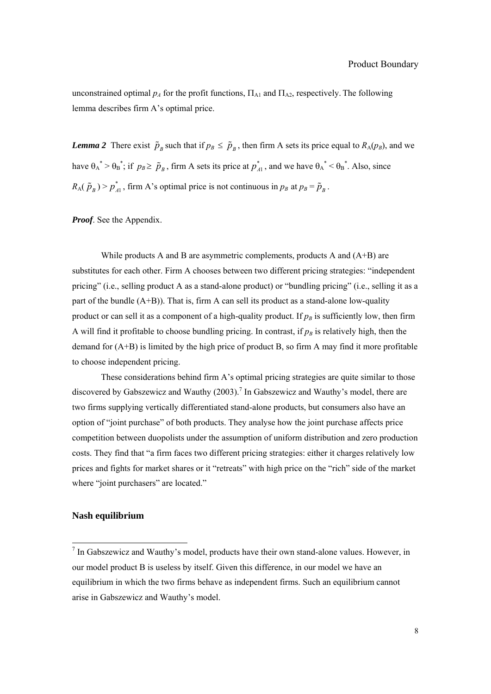unconstrained optimal  $p_A$  for the profit functions,  $\Pi_{A1}$  and  $\Pi_{A2}$ , respectively. The following lemma describes firm A's optimal price.

*Lemma 2* There exist  $\tilde{p}_B$  such that if  $p_B \leq \tilde{p}_B$ , then firm A sets its price equal to  $R_A(p_B)$ , and we have  $\theta_A^* > \theta_B^*$ ; if  $p_B \ge \tilde{p}_B$ , firm A sets its price at  $p_A^*$ , and we have  $\theta_A^* < \theta_B^*$ . Also, since  $R_A(\tilde{p}_B) > p_{A_1}^*$ , firm A's optimal price is not continuous in  $p_B$  at  $p_B = \tilde{p}_B$ .

*Proof*. See the Appendix.

While products A and B are asymmetric complements, products A and  $(A+B)$  are substitutes for each other. Firm A chooses between two different pricing strategies: "independent pricing" (i.e., selling product A as a stand-alone product) or "bundling pricing" (i.e., selling it as a part of the bundle  $(A+B)$ ). That is, firm A can sell its product as a stand-alone low-quality product or can sell it as a component of a high-quality product. If  $p_B$  is sufficiently low, then firm A will find it profitable to choose bundling pricing. In contrast, if  $p<sub>B</sub>$  is relatively high, then the demand for  $(A+B)$  is limited by the high price of product B, so firm A may find it more profitable to choose independent pricing.

These considerations behind firm A's optimal pricing strategies are quite similar to those discovered by Gabszewicz and Wauthy (2003).<sup>7</sup> In Gabszewicz and Wauthy's model, there are two firms supplying vertically differentiated stand-alone products, but consumers also have an option of "joint purchase" of both products. They analyse how the joint purchase affects price competition between duopolists under the assumption of uniform distribution and zero production costs. They find that "a firm faces two different pricing strategies: either it charges relatively low prices and fights for market shares or it "retreats" with high price on the "rich" side of the market where "joint purchasers" are located."

#### **Nash equilibrium**

 $\overline{a}$ 

 $<sup>7</sup>$  In Gabszewicz and Wauthy's model, products have their own stand-alone values. However, in</sup> our model product B is useless by itself. Given this difference, in our model we have an equilibrium in which the two firms behave as independent firms. Such an equilibrium cannot arise in Gabszewicz and Wauthy's model.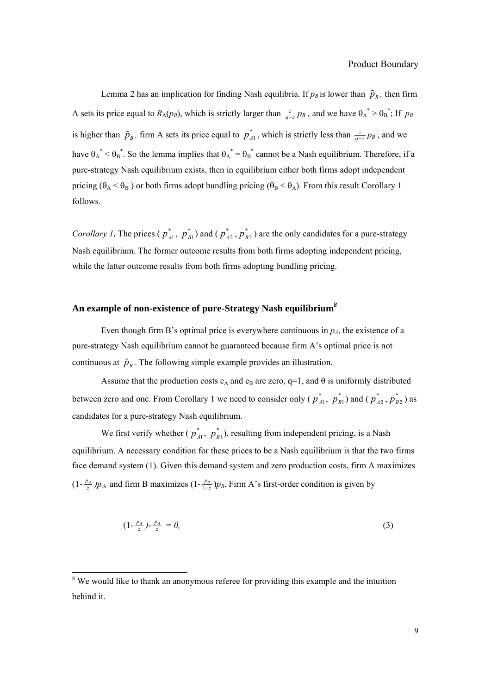Lemma 2 has an implication for finding Nash equilibria. If  $p_B$  is lower than  $\tilde{p}_B$ , then firm A sets its price equal to  $R_A(p_B)$ , which is strictly larger than  $\frac{z}{q-z}p_B$ , and we have  $\theta_A^* > \theta_B^*$ ; If  $p_B$ is higher than  $\tilde{p}_B$ , firm A sets its price equal to  $p_{A1}^*$ , which is strictly less than  $\frac{z}{q-z}p_B$ , and we have  $\theta_A^* < \theta_B^*$ . So the lemma implies that  $\theta_A^* = \theta_B^*$  cannot be a Nash equilibrium. Therefore, if a pure-strategy Nash equilibrium exists, then in equilibrium either both firms adopt independent pricing ( $\theta_A < \theta_B$ ) or both firms adopt bundling pricing ( $\theta_B < \theta_A$ ). From this result Corollary 1 follows.

*Corollary 1***.** The prices ( $p_{A1}^*$ ,  $p_{B1}^*$ ) and ( $p_{A2}^*$ ,  $p_{B2}^*$ ) are the only candidates for a pure-strategy Nash equilibrium*.* The former outcome results from both firms adopting independent pricing, while the latter outcome results from both firms adopting bundling pricing.

# **An example of non-existence of pure-Strategy Nash equilibrium***<sup>8</sup>*

Even though firm B's optimal price is everywhere continuous in  $p_A$ , the existence of a pure-strategy Nash equilibrium cannot be guaranteed because firm A's optimal price is not continuous at  $\tilde{p}_n$ . The following simple example provides an illustration.

Assume that the production costs  $c_A$  and  $c_B$  are zero, q=1, and  $\theta$  is uniformly distributed between zero and one. From Corollary 1 we need to consider only ( $p_{A1}^*$ ,  $p_{B1}^*$ ) and ( $p_{A2}^*$ ,  $p_{B2}^*$ ) as candidates for a pure-strategy Nash equilibrium.

We first verify whether ( $p_{A1}^*$ ,  $p_{B1}^*$ ), resulting from independent pricing, is a Nash equilibrium. A necessary condition for these prices to be a Nash equilibrium is that the two firms face demand system (1). Given this demand system and zero production costs, firm A maximizes  $(1-\frac{p_A}{z})p_A$ , and firm B maximizes  $(1-\frac{p_B}{1-z})p_B$ . Firm A's first-order condition is given by

$$
(1 - \frac{p_A}{z}) - \frac{p_A}{z} = 0,\t\t(3)
$$

l

<sup>&</sup>lt;sup>8</sup> We would like to thank an anonymous referee for providing this example and the intuition behind it.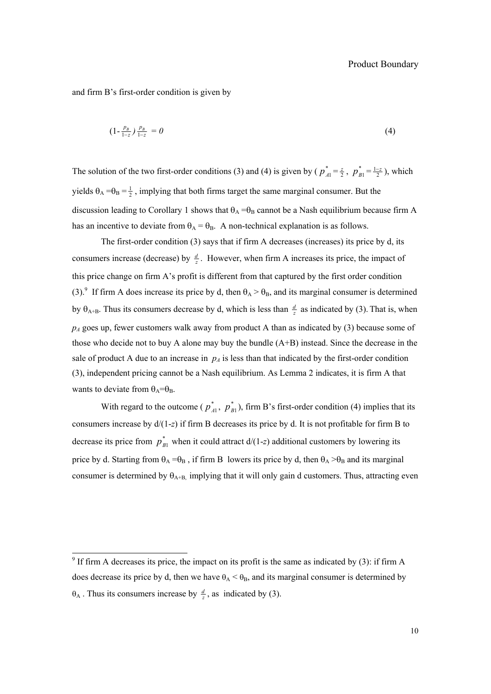and firm B's first-order condition is given by

$$
(1 - \frac{p_B}{1 - z}) \frac{p_B}{1 - z} = 0 \tag{4}
$$

The solution of the two first-order conditions (3) and (4) is given by ( $p_{A1}^* = \frac{z}{2}$ ,  $p_{B1}^* = \frac{1-z}{2}$ ), which yields  $\theta_A = \theta_B = \frac{1}{2}$ , implying that both firms target the same marginal consumer. But the discussion leading to Corollary 1 shows that  $\theta_A = \theta_B$  cannot be a Nash equilibrium because firm A has an incentive to deviate from  $\theta_A = \theta_B$ . A non-technical explanation is as follows.

The first-order condition (3) says that if firm A decreases (increases) its price by d, its consumers increase (decrease) by  $\frac{d}{z}$ . However, when firm A increases its price, the impact of this price change on firm A's profit is different from that captured by the first order condition (3).<sup>9</sup> If firm A does increase its price by d, then  $\theta_A > \theta_B$ , and its marginal consumer is determined by  $\theta_{A+B}$ . Thus its consumers decrease by d, which is less than  $\frac{d}{z}$  as indicated by (3). That is, when  $p_A$  goes up, fewer customers walk away from product A than as indicated by (3) because some of those who decide not to buy A alone may buy the bundle (A+B) instead. Since the decrease in the sale of product A due to an increase in  $p_A$  is less than that indicated by the first-order condition (3), independent pricing cannot be a Nash equilibrium. As Lemma 2 indicates, it is firm A that wants to deviate from  $\theta_A = \theta_B$ .

With regard to the outcome ( $p_{A1}^*$ ,  $p_{B1}^*$ ), firm B's first-order condition (4) implies that its consumers increase by d/(1-*z*) if firm B decreases its price by d. It is not profitable for firm B to decrease its price from  $p_{B1}^*$  when it could attract  $d/(1-z)$  additional customers by lowering its price by d. Starting from  $\theta_A = \theta_B$ , if firm B lowers its price by d, then  $\theta_A > \theta_B$  and its marginal consumer is determined by  $\theta_{A+B}$ , implying that it will only gain d customers. Thus, attracting even

<sup>&</sup>lt;sup>9</sup> If firm A decreases its price, the impact on its profit is the same as indicated by (3): if firm A does decrease its price by d, then we have  $\theta_A < \theta_B$ , and its marginal consumer is determined by  $\theta_A$ . Thus its consumers increase by  $\frac{d}{z}$ , as indicated by (3).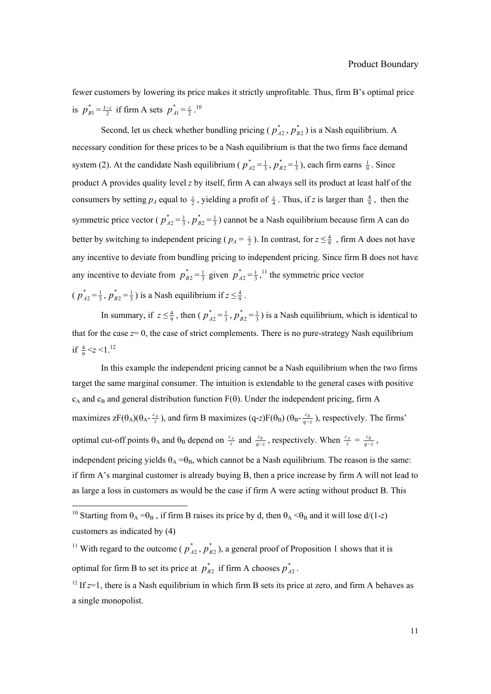fewer customers by lowering its price makes it strictly unprofitable. Thus, firm B's optimal price is  $p_{B1}^* = \frac{1-z}{2}$  if firm A sets  $p_{A1}^* = \frac{z}{2}$ .<sup>10</sup>

Second, let us check whether bundling pricing ( $p_{A2}^*$ ,  $p_{B2}^*$ ) is a Nash equilibrium. A necessary condition for these prices to be a Nash equilibrium is that the two firms face demand system (2). At the candidate Nash equilibrium ( $p_{A2}^* = \frac{1}{3}$ ,  $p_{B2}^* = \frac{1}{3}$ ), each firm earns  $\frac{1}{9}$ . Since product A provides quality level *z* by itself, firm A can always sell its product at least half of the consumers by setting  $p_A$  equal to  $\frac{z}{2}$ , yielding a profit of  $\frac{z}{4}$ . Thus, if *z* is larger than  $\frac{4}{9}$ , then the symmetric price vector ( $p_{A2}^* = \frac{1}{3}$ ,  $p_{B2}^* = \frac{1}{3}$ ) cannot be a Nash equilibrium because firm A can do better by switching to independent pricing ( $p_A = \frac{z}{2}$ ). In contrast, for  $z \le \frac{4}{9}$ , firm A does not have any incentive to deviate from bundling pricing to independent pricing. Since firm B does not have any incentive to deviate from  $p_{B2}^* = \frac{1}{3}$  given  $p_{A2}^* = \frac{1}{3}$ ,<sup>11</sup>, the symmetric price vector

 $(p_{A2}^* = \frac{1}{3}, p_{B2}^* = \frac{1}{3})$  is a Nash equilibrium if  $z \leq \frac{4}{9}$ .

l

In summary, if  $z \le \frac{4}{9}$ , then ( $p_{A2}^* = \frac{1}{3}$ ,  $p_{B2}^* = \frac{1}{3}$ ) is a Nash equilibrium, which is identical to that for the case  $z=0$ , the case of strict complements. There is no pure-strategy Nash equilibrium if  $\frac{4}{9} < z < 1.^{12}$ 

In this example the independent pricing cannot be a Nash equilibrium when the two firms target the same marginal consumer. The intuition is extendable to the general cases with positive  $c_A$  and  $c_B$  and general distribution function  $F(\theta)$ . Under the independent pricing, firm A maximizes  $zF(\theta_A)(\theta_A - \frac{c_A}{z})$ , and firm B maximizes (q-*z*)F( $\theta_B$ ) ( $\theta_B - \frac{c_B}{q-z}$ ), respectively. The firms' optimal cut-off points  $\theta_A$  and  $\theta_B$  depend on  $\frac{c_A}{z}$  and  $\frac{c_B}{q-z}$ , respectively. When  $\frac{c_A}{z} = \frac{c_B}{q-z}$ , independent pricing yields  $\theta_A = \theta_B$ , which cannot be a Nash equilibrium. The reason is the same: if firm A's marginal customer is already buying B, then a price increase by firm A will not lead to

as large a loss in customers as would be the case if firm A were acting without product B. This

<sup>&</sup>lt;sup>10</sup> Starting from  $\theta_A = \theta_B$ , if firm B raises its price by d, then  $\theta_A < \theta_B$  and it will lose d/(1-*z*) customers as indicated by (4)

<sup>&</sup>lt;sup>11</sup> With regard to the outcome ( $p_{A2}^*$ ,  $p_{B2}^*$ ), a general proof of Proposition 1 shows that it is optimal for firm B to set its price at  $p_{B2}^*$  if firm A chooses  $p_{A2}^*$ .

<sup>&</sup>lt;sup>12</sup> If  $z=1$ , there is a Nash equilibrium in which firm B sets its price at zero, and firm A behaves as a single monopolist.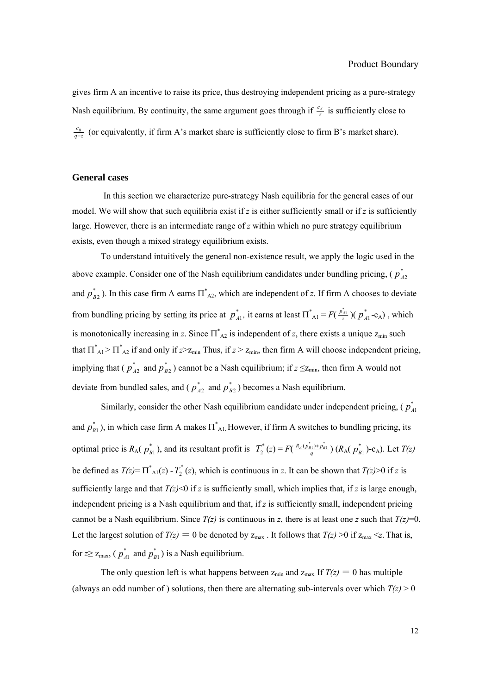gives firm A an incentive to raise its price, thus destroying independent pricing as a pure-strategy Nash equilibrium. By continuity, the same argument goes through if  $\frac{c_4}{z}$  is sufficiently close to  $\frac{c_B}{q-z}$  (or equivalently, if firm A's market share is sufficiently close to firm B's market share).

## **General cases**

In this section we characterize pure-strategy Nash equilibria for the general cases of our model. We will show that such equilibria exist if  $z$  is either sufficiently small or if  $z$  is sufficiently large. However, there is an intermediate range of *z* within which no pure strategy equilibrium exists, even though a mixed strategy equilibrium exists.

To understand intuitively the general non-existence result, we apply the logic used in the above example. Consider one of the Nash equilibrium candidates under bundling pricing, ( $p_{A2}^*$ and  $p_{B2}^*$ ). In this case firm A earns  $\overline{\Pi}_{A2}^*$ , which are independent of *z*. If firm A chooses to deviate from bundling pricing by setting its price at  $p_{A1}^*$ , it earns at least  $\prod_{i=1}^* F(\frac{p_{A1}^*}{z}) (p_{A1}^* - c_A)$ , which is monotonically increasing in *z*. Since  $\Pi_{A2}^{*}$  is independent of *z*, there exists a unique  $z_{min}$  such that  $\Pi_{\text{Al}}^* > \Pi_{\text{Al}}^*$  if and only if  $z > z_{\text{min}}$ . Thus, if  $z > z_{\text{min}}$ , then firm A will choose independent pricing, implying that ( $p_{A2}^*$  and  $p_{B2}^*$ ) cannot be a Nash equilibrium; if  $z \leq z_{min}$ , then firm A would not deviate from bundled sales, and ( $p_{A2}^*$  and  $p_{B2}^*$ ) becomes a Nash equilibrium.

Similarly, consider the other Nash equilibrium candidate under independent pricing,  $(p_A^*$ and  $p_{B1}^*$ ), in which case firm A makes  $\overline{\Pi}_{A1}^*$  However, if firm A switches to bundling pricing, its optimal price is  $R_A(p_{B1}^*)$ , and its resultant profit is  $T_2^*(z) = F(\frac{R_A(p_{B1}^*) + p_{B1}^*}{q}) (R_A(p_{B1}^*) - c_A)$ . Let  $T(z)$ be defined as  $T(z) = \prod_{\substack{A=1 \ n \text{ odd}}}^* (z) - T_2^*(z)$ , which is continuous in z. It can be shown that  $T(z) > 0$  if z is sufficiently large and that  $T(z)$  if *z* is sufficiently small, which implies that, if *z* is large enough, independent pricing is a Nash equilibrium and that, if *z* is sufficiently small, independent pricing cannot be a Nash equilibrium. Since  $T(z)$  is continuous in *z*, there is at least one *z* such that  $T(z)=0$ . Let the largest solution of  $T(z) = 0$  be denoted by  $z_{\text{max}}$ . It follows that  $T(z) > 0$  if  $z_{\text{max}} < z$ . That is, for  $z \ge z_{\text{max}}$ , ( $p_{A1}^*$  and  $p_{B1}^*$ ) is a Nash equilibrium.

The only question left is what happens between  $z_{\text{min}}$  and  $z_{\text{max}}$ . If  $T(z) = 0$  has multiple (always an odd number of) solutions, then there are alternating sub-intervals over which  $T(z) > 0$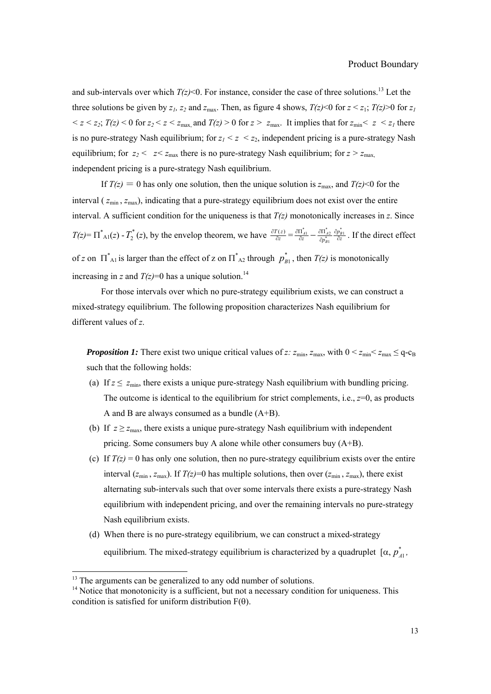and sub-intervals over which  $T(z)$ <0. For instance, consider the case of three solutions.<sup>13</sup> Let the three solutions be given by  $z_1$ ,  $z_2$  and  $z_{\text{max}}$ . Then, as figure 4 shows,  $T(z) < 0$  for  $z < z_1$ ;  $T(z) > 0$  for  $z_1$  $\langle z \rangle \langle z \rangle = \langle z \rangle$  *z*<sub>*z*</sub> *T(z)*  $\langle z \rangle$  6 for *z*  $\langle z \rangle$  *z*<sub>max</sub>. It implies that for  $z_{\text{min}} \langle z \rangle \langle z \rangle$  there is no pure-strategy Nash equilibrium; for  $z_1 < z < z_2$ , independent pricing is a pure-strategy Nash equilibrium; for  $z_2 < z \le z_{\text{max}}$  there is no pure-strategy Nash equilibrium; for  $z > z_{\text{max}}$ , independent pricing is a pure-strategy Nash equilibrium.

If  $T(z) = 0$  has only one solution, then the unique solution is  $z_{\text{max}}$ , and  $T(z) < 0$  for the interval ( $z_{min}$ ,  $z_{max}$ ), indicating that a pure-strategy equilibrium does not exist over the entire interval. A sufficient condition for the uniqueness is that  $T(z)$  monotonically increases in  $z$ . Since  $T(z) = \prod_{i=1}^{k} (z) - T_2^*(z)$ , by the envelop theorem, we have  $\frac{\partial T(z)}{\partial z}$  $\frac{\partial T(z)}{\partial z} = \frac{\partial \Pi_{A1}^*}{\partial z} - \frac{\partial \Pi_{A2}^*}{\partial p_{B1}^*} \frac{\partial p_{B1}^*}{\partial z}$  $A_1$   $\Box$   $O_1$   $A_2$   $O_2$ *B p z*  $\partial p_{B1}^*$   $\partial z$  $\frac{\partial \Pi_{A1}^*}{\partial z} - \frac{\partial \Pi_{A2}^*}{\partial p_{B1}^*} \frac{\partial p_{B1}^*}{\partial z}$ . If the direct effect of *z* on  $\prod_{\substack{A}}^*$  is larger than the effect of *z* on  $\prod_{\substack{A}}^*$  through  $p_{B1}^*$ , then  $T(z)$  is monotonically increasing in *z* and  $T(z)=0$  has a unique solution.<sup>14</sup>

For those intervals over which no pure-strategy equilibrium exists, we can construct a mixed-strategy equilibrium. The following proposition characterizes Nash equilibrium for different values of *z*.

*Proposition 1:* There exist two unique critical values of *z*:  $z_{min}$ ,  $z_{max}$ , with  $0 < z_{min} \le z_{max} \le q - c_B$ such that the following holds:

- (a) If  $z \le z_{\text{min}}$ , there exists a unique pure-strategy Nash equilibrium with bundling pricing. The outcome is identical to the equilibrium for strict complements, i.e.,  $z=0$ , as products A and B are always consumed as a bundle (A+B).
- (b) If  $z \ge z_{\text{max}}$ , there exists a unique pure-strategy Nash equilibrium with independent pricing. Some consumers buy A alone while other consumers buy (A+B).
- (c) If  $T(z) = 0$  has only one solution, then no pure-strategy equilibrium exists over the entire interval  $(z_{min}, z_{max})$ . If  $T(z)=0$  has multiple solutions, then over  $(z_{min}, z_{max})$ , there exist alternating sub-intervals such that over some intervals there exists a pure-strategy Nash equilibrium with independent pricing, and over the remaining intervals no pure-strategy Nash equilibrium exists.
- (d) When there is no pure-strategy equilibrium, we can construct a mixed-strategy equilibrium. The mixed-strategy equilibrium is characterized by a quadruplet  $[\alpha, p^*_{A1},$

 $\overline{a}$ 

 $13$  The arguments can be generalized to any odd number of solutions.

<sup>&</sup>lt;sup>14</sup> Notice that monotonicity is a sufficient, but not a necessary condition for uniqueness. This condition is satisfied for uniform distribution  $F(\theta)$ .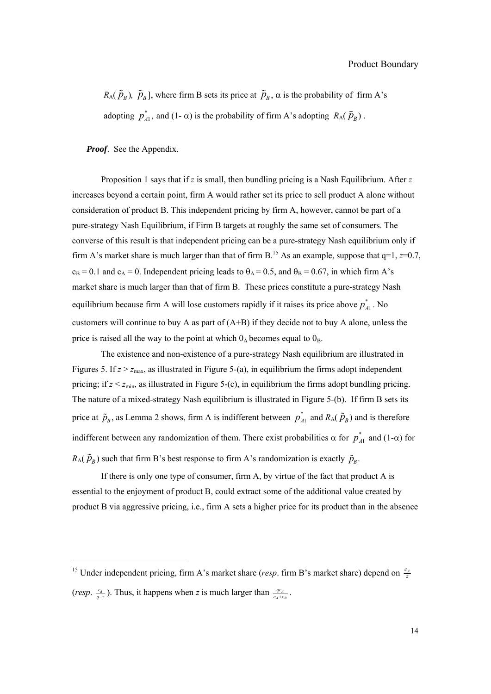#### Product Boundary

*R*<sub>A</sub>( $\tilde{p}_B$ ),  $\tilde{p}_B$ ], where firm B sets its price at  $\tilde{p}_B$ ,  $\alpha$  is the probability of firm A's adopting  $p_{A1}^*$ , and (1-  $\alpha$ ) is the probability of firm A's adopting  $R_A(\tilde{p}_B)$ .

*Proof*. See the Appendix.

l

Proposition 1 says that if *z* is small, then bundling pricing is a Nash Equilibrium. After *z* increases beyond a certain point, firm A would rather set its price to sell product A alone without consideration of product B. This independent pricing by firm A, however, cannot be part of a pure-strategy Nash Equilibrium, if Firm B targets at roughly the same set of consumers. The converse of this result is that independent pricing can be a pure-strategy Nash equilibrium only if firm A's market share is much larger than that of firm B.<sup>15</sup> As an example, suppose that  $q=1$ ,  $z=0.7$ ,  $c_B = 0.1$  and  $c_A = 0$ . Independent pricing leads to  $\theta_A = 0.5$ , and  $\theta_B = 0.67$ , in which firm A's market share is much larger than that of firm B. These prices constitute a pure-strategy Nash equilibrium because firm A will lose customers rapidly if it raises its price above  $p_{A1}^*$ . No customers will continue to buy A as part of (A+B) if they decide not to buy A alone, unless the price is raised all the way to the point at which  $\theta_A$  becomes equal to  $\theta_B$ .

The existence and non-existence of a pure-strategy Nash equilibrium are illustrated in Figures 5. If  $z > z_{\text{max}}$ , as illustrated in Figure 5-(a), in equilibrium the firms adopt independent pricing; if  $z < z_{min}$ , as illustrated in Figure 5-(c), in equilibrium the firms adopt bundling pricing. The nature of a mixed-strategy Nash equilibrium is illustrated in Figure 5-(b). If firm B sets its price at  $\tilde{p}_B$ , as Lemma 2 shows, firm A is indifferent between  $p_{A1}^*$  and  $R_A(\tilde{p}_B)$  and is therefore indifferent between any randomization of them. There exist probabilities  $\alpha$  for  $p_{A1}^*$  and (1- $\alpha$ ) for  $R_A(\tilde{p}_B)$  such that firm B's best response to firm A's randomization is exactly  $\tilde{p}_B$ .

If there is only one type of consumer, firm A, by virtue of the fact that product A is essential to the enjoyment of product B, could extract some of the additional value created by product B via aggressive pricing, i.e., firm A sets a higher price for its product than in the absence

<sup>&</sup>lt;sup>15</sup> Under independent pricing, firm A's market share (*resp.* firm B's market share) depend on  $\frac{c_A}{z}$ (*resp.*  $\frac{c_B}{q-z}$ ). Thus, it happens when *z* is much larger than  $\frac{q\sigma_A}{c_A+c_B}$  $\frac{qc_A}{c_A+c_B}$ .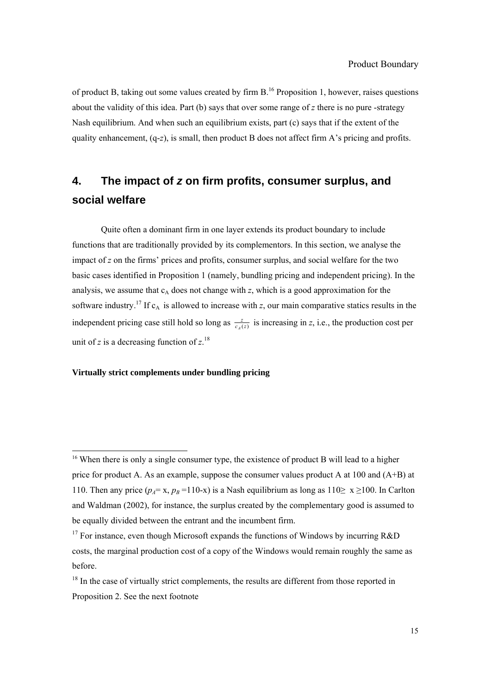of product B, taking out some values created by firm  $B<sup>16</sup>$  Proposition 1, however, raises questions about the validity of this idea. Part (b) says that over some range of *z* there is no pure -strategy Nash equilibrium. And when such an equilibrium exists, part (c) says that if the extent of the quality enhancement, (q-*z*), is small, then product B does not affect firm A's pricing and profits.

# **4. The impact of** *z* **on firm profits, consumer surplus, and social welfare**

Quite often a dominant firm in one layer extends its product boundary to include functions that are traditionally provided by its complementors. In this section, we analyse the impact of *z* on the firms' prices and profits, consumer surplus, and social welfare for the two basic cases identified in Proposition 1 (namely, bundling pricing and independent pricing). In the analysis, we assume that  $c_A$  does not change with  $z$ , which is a good approximation for the software industry.<sup>17</sup> If  $c_A$  is allowed to increase with  $z$ , our main comparative statics results in the independent pricing case still hold so long as  $\frac{z}{c_4(z)}$  $\frac{z}{A(z)}$  is increasing in *z*, i.e., the production cost per unit of *z* is a decreasing function of  $z$ <sup>18</sup>

#### **Virtually strict complements under bundling pricing**

 $\overline{a}$ 

<sup>&</sup>lt;sup>16</sup> When there is only a single consumer type, the existence of product B will lead to a higher price for product A. As an example, suppose the consumer values product A at 100 and (A+B) at 110. Then any price  $(p_A = x, p_B = 110-x)$  is a Nash equilibrium as long as  $110 \ge x \ge 100$ . In Carlton and Waldman (2002), for instance, the surplus created by the complementary good is assumed to be equally divided between the entrant and the incumbent firm.

<sup>&</sup>lt;sup>17</sup> For instance, even though Microsoft expands the functions of Windows by incurring  $R&D$ costs, the marginal production cost of a copy of the Windows would remain roughly the same as before.

 $18$  In the case of virtually strict complements, the results are different from those reported in Proposition 2. See the next footnote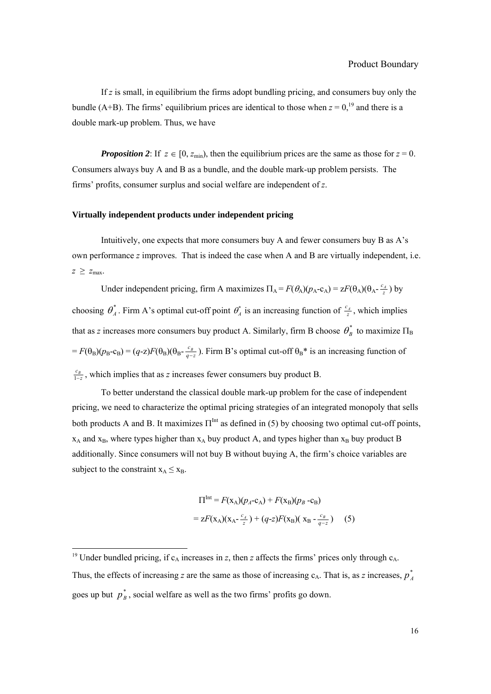If *z* is small, in equilibrium the firms adopt bundling pricing, and consumers buy only the bundle (A+B). The firms' equilibrium prices are identical to those when  $z = 0$ ,<sup>19</sup> and there is a double mark-up problem. Thus, we have

*Proposition 2*: If  $z \in [0, z_{\text{min}})$ , then the equilibrium prices are the same as those for  $z = 0$ . Consumers always buy A and B as a bundle, and the double mark-up problem persists. The firms' profits, consumer surplus and social welfare are independent of *z*.

#### **Virtually independent products under independent pricing**

Intuitively, one expects that more consumers buy A and fewer consumers buy B as A's own performance *z* improves. That is indeed the case when A and B are virtually independent, i.e.  $z \geq z_{\text{max}}$ .

Under independent pricing, firm A maximizes  $\Pi_A = F(\theta_A)(p_A - c_A) = zF(\theta_A)(\theta_A - \frac{c_A}{z})$  by choosing  $\theta^*_A$ . Firm A's optimal cut-off point  $\theta^*_A$  is an increasing function of  $\frac{c_A}{z}$ , which implies that as *z* increases more consumers buy product A. Similarly, firm B choose  $\theta_B^*$  to maximize  $\Pi_B$  $F(\theta_B)(p_B-c_B) = (q-z)F(\theta_B)(\theta_B-\frac{c_B}{q-z})$ . Firm B's optimal cut-off  $\theta_B^*$  is an increasing function of  $\frac{c_B}{1-z}$ , which implies that as *z* increases fewer consumers buy product B.

To better understand the classical double mark-up problem for the case of independent pricing, we need to characterize the optimal pricing strategies of an integrated monopoly that sells both products A and B. It maximizes  $\Pi^{\text{Int}}$  as defined in (5) by choosing two optimal cut-off points,  $x_A$  and  $x_B$ , where types higher than  $x_A$  buy product A, and types higher than  $x_B$  buy product B additionally. Since consumers will not buy B without buying A, the firm's choice variables are subject to the constraint  $x_A \le x_B$ .

$$
\Pi^{\text{Int}} = F(\mathbf{x}_A)(p_A - \mathbf{c}_A) + F(\mathbf{x}_B)(p_B - \mathbf{c}_B)
$$
  
=  $zF(\mathbf{x}_A)(\mathbf{x}_A - \frac{c_A}{z}) + (q-z)F(\mathbf{x}_B)(\mathbf{x}_B - \frac{c_B}{q-z})$  (5)

l

<sup>&</sup>lt;sup>19</sup> Under bundled pricing, if  $c_A$  increases in *z*, then *z* affects the firms' prices only through  $c_A$ . Thus, the effects of increasing *z* are the same as those of increasing  $c_A$ . That is, as *z* increases,  $p_A^*$ goes up but  $p_B^*$ , social welfare as well as the two firms' profits go down.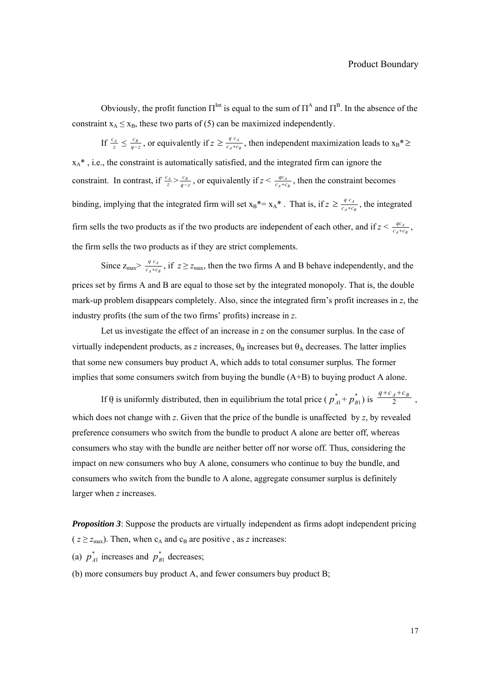Obviously, the profit function  $\Pi^{\text{Int}}$  is equal to the sum of  $\Pi^{\text{A}}$  and  $\Pi^{\text{B}}$ . In the absence of the constraint  $x_A \le x_B$ , these two parts of (5) can be maximized independently.

If  $\frac{c_A}{z} \leq \frac{c_B}{q-z}$ , or equivalently if  $z \geq \frac{q c_A}{c_A+c_B}$  $\frac{q c_A}{r_A + c_B}$ , then independent maximization leads to  $x_B^* \geq$  $x_A^*$ , i.e., the constraint is automatically satisfied, and the integrated firm can ignore the constraint. In contrast, if  $\frac{c_A}{z} > \frac{c_B}{q-z}$ , or equivalently if  $z < \frac{qc_A}{c_A+c_B}$  $\frac{qc_A}{q+c_B}$ , then the constraint becomes binding, implying that the integrated firm will set  $x_B^* = x_A^*$ . That is, if  $z \ge \frac{q c_A}{c_A + c_B}$  $\frac{q c_A}{r_A + c_B}$ , the integrated firm sells the two products as if the two products are independent of each other, and if  $z < \frac{qc_A}{c_A+c_B}$  $\frac{qc_A}{q+c_B}$ , the firm sells the two products as if they are strict complements.

Since  $z_{\text{max}} > \frac{q c_A}{c_A + c_B}$  $\frac{q c_A}{r_A + c_B}$ , if  $z \ge z_{\text{max}}$ , then the two firms A and B behave independently, and the prices set by firms A and B are equal to those set by the integrated monopoly. That is, the double mark-up problem disappears completely. Also, since the integrated firm's profit increases in *z*, the industry profits (the sum of the two firms' profits) increase in *z*.

Let us investigate the effect of an increase in *z* on the consumer surplus. In the case of virtually independent products, as *z* increases,  $\theta_B$  increases but  $\theta_A$  decreases. The latter implies that some new consumers buy product A, which adds to total consumer surplus. The former implies that some consumers switch from buying the bundle  $(A+B)$  to buying product A alone.

If θ is uniformly distributed, then in equilibrium the total price ( $p_{A1}^* + p_{B1}^*$ ) is  $\frac{q+c_A+c_B}{2}$ , which does not change with  $z$ . Given that the price of the bundle is unaffected by  $z$ , by revealed preference consumers who switch from the bundle to product A alone are better off, whereas consumers who stay with the bundle are neither better off nor worse off. Thus, considering the impact on new consumers who buy A alone, consumers who continue to buy the bundle, and consumers who switch from the bundle to A alone, aggregate consumer surplus is definitely larger when *z* increases.

*Proposition 3*: Suppose the products are virtually independent as firms adopt independent pricing  $(z \geq z_{\text{max}})$ . Then, when c<sub>A</sub> and c<sub>B</sub> are positive, as *z* increases:

(a)  $p_{A1}^*$  increases and  $p_{B1}^*$  decreases;

(b) more consumers buy product A, and fewer consumers buy product B;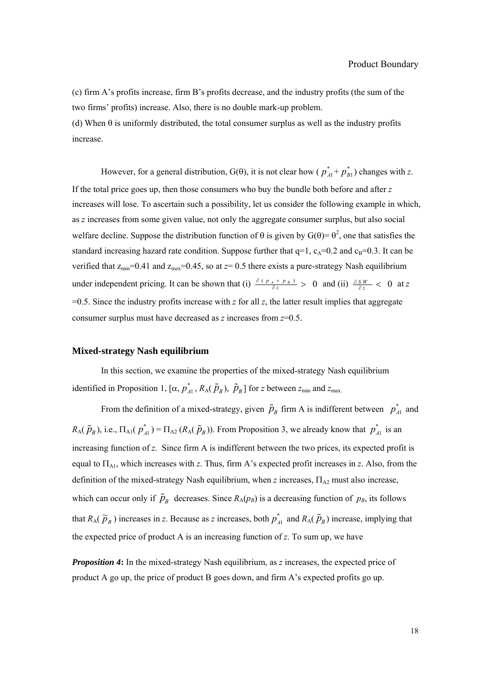(c) firm A's profits increase, firm B's profits decrease, and the industry profits (the sum of the two firms' profits) increase. Also, there is no double mark-up problem. (d) When  $\theta$  is uniformly distributed, the total consumer surplus as well as the industry profits increase.

However, for a general distribution,  $G(\theta)$ , it is not clear how ( $p_{A1}^* + p_{B1}^*$ ) changes with *z*. If the total price goes up, then those consumers who buy the bundle both before and after *z* increases will lose. To ascertain such a possibility, let us consider the following example in which, as *z* increases from some given value, not only the aggregate consumer surplus, but also social welfare decline. Suppose the distribution function of  $\theta$  is given by  $G(\theta) = \theta^2$ , one that satisfies the standard increasing hazard rate condition. Suppose further that  $q=1$ ,  $c_A=0.2$  and  $c_B=0.3$ . It can be verified that  $z_{min}=0.41$  and  $z_{max}=0.45$ , so at  $z=0.5$  there exists a pure-strategy Nash equilibrium under independent pricing. It can be shown that (i)  $\frac{\partial ( p_A + p_B)}{\partial z} > 0$  $\frac{\partial (p_A + p_B)}{\partial z}$  > 0 and (ii)  $\frac{\partial S_W}{\partial z}$  < 0 at *z*  $=0.5$ . Since the industry profits increase with *z* for all *z*, the latter result implies that aggregate consumer surplus must have decreased as *z* increases from *z*=0.5.

#### **Mixed-strategy Nash equilibrium**

In this section, we examine the properties of the mixed-strategy Nash equilibrium identified in Proposition 1,  $[\alpha, p_A^*, R_A(\tilde{p}_B), \tilde{p}_B]$  for *z* between  $z_{min}$  and  $z_{max}$ .

From the definition of a mixed-strategy, given  $\tilde{p}_B$  firm A is indifferent between  $p_{A1}^*$  and  $R_A(\tilde{p}_B)$ , i.e.,  $\Pi_{A1}(p_A^*) = \Pi_{A2}(R_A(\tilde{p}_B))$ . From Proposition 3, we already know that  $p_A^*$  is an increasing function of *z*. Since firm A is indifferent between the two prices, its expected profit is equal to ΠA1, which increases with *z*. Thus, firm A's expected profit increases in *z*. Also, from the definition of the mixed-strategy Nash equilibrium, when *z* increases, ΠA2 must also increase, which can occur only if  $\tilde{p}_B$  decreases. Since  $R_A(p_B)$  is a decreasing function of  $p_B$ , its follows that  $R_A(\tilde{p}_B)$  increases in *z*. Because as *z* increases, both  $p_{A1}^*$  and  $R_A(\tilde{p}_B)$  increase, implying that the expected price of product A is an increasing function of *z*. To sum up, we have

*Proposition 4***:** In the mixed-strategy Nash equilibrium, as *z* increases, the expected price of product A go up, the price of product B goes down, and firm A's expected profits go up.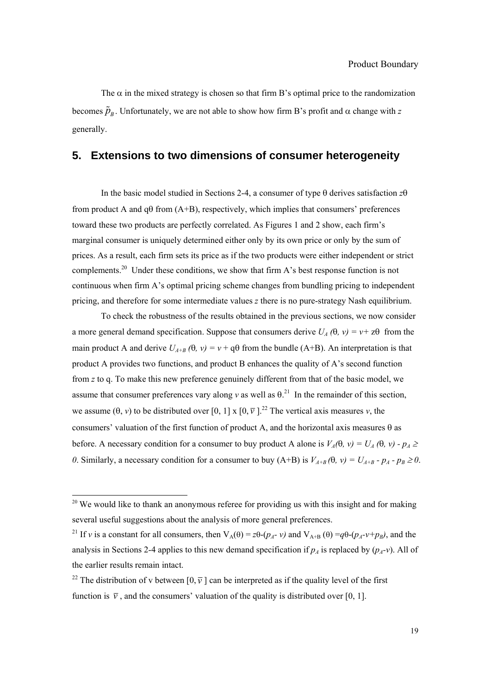The  $\alpha$  in the mixed strategy is chosen so that firm B's optimal price to the randomization becomes  $\tilde{p}_R$ . Unfortunately, we are not able to show how firm B's profit and α change with *z* generally.

# **5. Extensions to two dimensions of consumer heterogeneity**

In the basic model studied in Sections 2-4, a consumer of type θ derives satisfaction *z*θ from product A and  $q\theta$  from  $(A+B)$ , respectively, which implies that consumers' preferences toward these two products are perfectly correlated. As Figures 1 and 2 show, each firm's marginal consumer is uniquely determined either only by its own price or only by the sum of prices. As a result, each firm sets its price as if the two products were either independent or strict complements.<sup>20</sup> Under these conditions, we show that firm A's best response function is not continuous when firm A's optimal pricing scheme changes from bundling pricing to independent pricing, and therefore for some intermediate values *z* there is no pure-strategy Nash equilibrium.

To check the robustness of the results obtained in the previous sections, we now consider a more general demand specification. Suppose that consumers derive  $U_A(\theta, v) = v + z\theta$  from the main product A and derive  $U_{A+B}(\theta, v) = v + q\theta$  from the bundle (A+B). An interpretation is that product A provides two functions, and product B enhances the quality of A's second function from *z* to q. To make this new preference genuinely different from that of the basic model, we assume that consumer preferences vary along *v* as well as  $\theta$ <sup>21</sup>. In the remainder of this section, we assume  $(\theta, v)$  to be distributed over  $[0, 1] \times [0, \overline{v}]$ .<sup>22</sup> The vertical axis measures *v*, the consumers' valuation of the first function of product A, and the horizontal axis measures  $\theta$  as before. A necessary condition for a consumer to buy product A alone is  $V_A(\theta, v) = U_A(\theta, v) - p_A \ge$ *0*. Similarly, a necessary condition for a consumer to buy (A+B) is  $V_{A+B}(\theta, v) = U_{A+B} - p_A - p_B \ge 0$ .

 $\overline{a}$ 

 $20$  We would like to thank an anonymous referee for providing us with this insight and for making several useful suggestions about the analysis of more general preferences.

<sup>&</sup>lt;sup>21</sup> If *v* is a constant for all consumers, then  $V_A(\theta) = z\theta-(p_A - v)$  and  $V_{A+B}(\theta) = q\theta-(p_A - v+p_B)$ , and the analysis in Sections 2-4 applies to this new demand specification if  $p_A$  is replaced by  $(p_A-\nu)$ . All of the earlier results remain intact.

<sup>&</sup>lt;sup>22</sup> The distribution of v between  $[0, \overline{v}]$  can be interpreted as if the quality level of the first function is  $\overline{v}$ , and the consumers' valuation of the quality is distributed over [0, 1].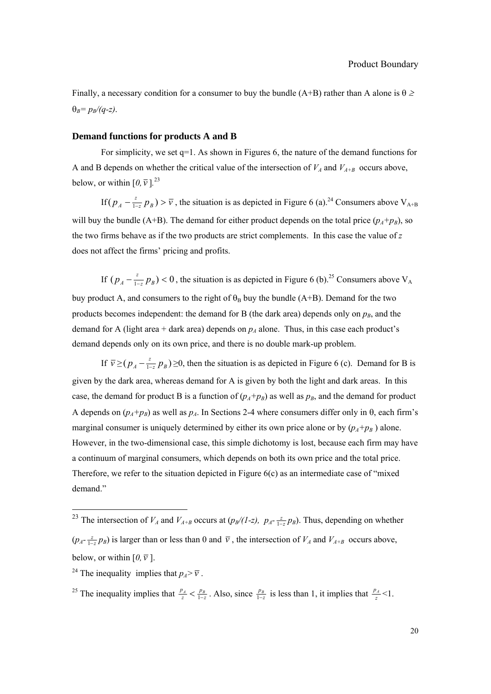Finally, a necessary condition for a consumer to buy the bundle (A+B) rather than A alone is  $\theta \ge$  $\theta_B = p_B/(q-z)$ .

#### **Demand functions for products A and B**

For simplicity, we set q=1. As shown in Figures 6, the nature of the demand functions for A and B depends on whether the critical value of the intersection of  $V_A$  and  $V_{A+B}$  occurs above, below, or within  $[0, \overline{v}]$ <sup>23</sup>

If  $(p_A - \frac{z}{1-z} p_B) > \overline{v}$ , the situation is as depicted in Figure 6 (a).<sup>24</sup> Consumers above V<sub>A+B</sub> will buy the bundle (A+B). The demand for either product depends on the total price  $(p_A+p_B)$ , so the two firms behave as if the two products are strict complements. In this case the value of *z* does not affect the firms' pricing and profits.

If  $(p_A - \frac{z}{1-z}p_B) < 0$ , the situation is as depicted in Figure 6 (b).<sup>25</sup> Consumers above V<sub>A</sub> buy product A, and consumers to the right of  $\theta_B$  buy the bundle (A+B). Demand for the two products becomes independent: the demand for B (the dark area) depends only on  $p_B$ , and the demand for A (light area + dark area) depends on  $p_A$  alone. Thus, in this case each product's demand depends only on its own price, and there is no double mark-up problem.

If  $\bar{v}$  ≥( $p_A - \frac{z}{1-z} p_B$ ) ≥0, then the situation is as depicted in Figure 6 (c). Demand for B is given by the dark area, whereas demand for A is given by both the light and dark areas. In this case, the demand for product B is a function of  $(p_A+p_B)$  as well as  $p_B$ , and the demand for product A depends on  $(p_A+p_B)$  as well as  $p_A$ . In Sections 2-4 where consumers differ only in  $\theta$ , each firm's marginal consumer is uniquely determined by either its own price alone or by  $(p_A+p_B)$  alone. However, in the two-dimensional case, this simple dichotomy is lost, because each firm may have a continuum of marginal consumers, which depends on both its own price and the total price. Therefore, we refer to the situation depicted in Figure  $6(c)$  as an intermediate case of "mixed" demand."

l

<sup>&</sup>lt;sup>23</sup> The intersection of  $V_A$  and  $V_{A+B}$  occurs at  $(p_B/(I-z), p_A - \frac{z}{1-z}p_B)$ . Thus, depending on whether  $(p_A - \frac{z}{1-z}p_B)$  is larger than or less than 0 and  $\bar{v}$ , the intersection of  $V_A$  and  $V_{A+B}$  occurs above, below, or within  $[0, \overline{v}]$ .

<sup>&</sup>lt;sup>24</sup> The inequality implies that  $p_A > \overline{v}$ .

<sup>&</sup>lt;sup>25</sup> The inequality implies that  $\frac{p_A}{z} < \frac{p_B}{1-z}$  $\frac{p_A}{z} < \frac{p_B}{1-z}$ . Also, since  $\frac{p_B}{1-z}$  is less than 1, it implies that  $\frac{p_A}{z} < 1$ .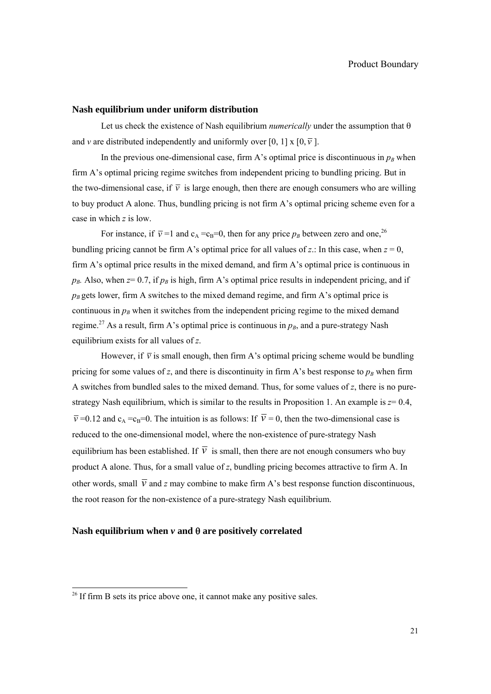## **Nash equilibrium under uniform distribution**

Let us check the existence of Nash equilibrium *numerically* under the assumption that θ and *v* are distributed independently and uniformly over [0, 1] x [0,  $\overline{v}$ ].

In the previous one-dimensional case, firm A's optimal price is discontinuous in  $p_B$  when firm A's optimal pricing regime switches from independent pricing to bundling pricing. But in the two-dimensional case, if  $\overline{v}$  is large enough, then there are enough consumers who are willing to buy product A alone. Thus, bundling pricing is not firm A's optimal pricing scheme even for a case in which *z* is low.

For instance, if  $\overline{v} = 1$  and  $c_A = c_B = 0$ , then for any price  $p_B$  between zero and one,<sup>26</sup> bundling pricing cannot be firm A's optimal price for all values of  $z$ .: In this case, when  $z = 0$ , firm A's optimal price results in the mixed demand, and firm A's optimal price is continuous in  $p_B$ . Also, when  $z=0.7$ , if  $p_B$  is high, firm A's optimal price results in independent pricing, and if  $p_B$  gets lower, firm A switches to the mixed demand regime, and firm A's optimal price is continuous in  $p_B$  when it switches from the independent pricing regime to the mixed demand regime.<sup>27</sup> As a result, firm A's optimal price is continuous in  $p_B$ , and a pure-strategy Nash equilibrium exists for all values of *z*.

However, if  $\overline{v}$  is small enough, then firm A's optimal pricing scheme would be bundling pricing for some values of *z*, and there is discontinuity in firm A's best response to  $p_B$  when firm A switches from bundled sales to the mixed demand. Thus, for some values of *z*, there is no purestrategy Nash equilibrium, which is similar to the results in Proposition 1. An example is  $z=0.4$ ,  $\overline{v}$  =0.12 and c<sub>A</sub> =c<sub>B</sub>=0. The intuition is as follows: If  $\overline{v}$  = 0, then the two-dimensional case is reduced to the one-dimensional model, where the non-existence of pure-strategy Nash equilibrium has been established. If  $\overline{v}$  is small, then there are not enough consumers who buy product A alone. Thus, for a small value of *z*, bundling pricing becomes attractive to firm A. In other words, small  $\overline{v}$  and *z* may combine to make firm A's best response function discontinuous, the root reason for the non-existence of a pure-strategy Nash equilibrium.

## **Nash equilibrium when** *v* **and** θ **are positively correlated**

l

 $26$  If firm B sets its price above one, it cannot make any positive sales.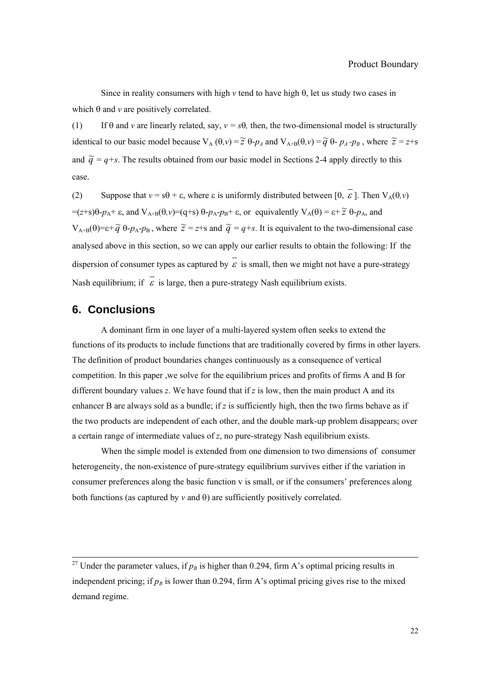Since in reality consumers with high  $\nu$  tend to have high  $\theta$ , let us study two cases in which θ and *v* are positively correlated.

(1) If  $\theta$  and  $\nu$  are linearly related, say,  $\nu = s\theta$ , then, the two-dimensional model is structurally identical to our basic model because  $V_A(\theta, v) = \tilde{z} \theta - p_A$  and  $V_{A+B}(\theta, v) = \tilde{q} \theta - p_A - p_B$ , where  $\tilde{z} = z + s$ and  $\tilde{q} = q+s$ . The results obtained from our basic model in Sections 2-4 apply directly to this case.

(2) Suppose that  $v = s\theta + \varepsilon$ , where  $\varepsilon$  is uniformly distributed between  $[0, \varepsilon]$ . Then  $V_A(\theta, v)$  $=(z+s)\theta - p_A + \varepsilon$ , and  $V_{A+B}(\theta, v) = (q+s)\theta - p_A - p_B + \varepsilon$ , or equivalently  $V_A(\theta) = \varepsilon + \tilde{\varepsilon} \theta - p_A$ , and  $V_{A+B}(\theta) = \varepsilon + \tilde{q} \theta - p_A - p_B$ , where  $\tilde{z} = z + s$  and  $\tilde{q} = q + s$ . It is equivalent to the two-dimensional case analysed above in this section, so we can apply our earlier results to obtain the following: If the dispersion of consumer types as captured by  $\overline{\varepsilon}$  is small, then we might not have a pure-strategy Nash equilibrium; if  $\overline{\varepsilon}$  is large, then a pure-strategy Nash equilibrium exists.

# **6. Conclusions**

A dominant firm in one layer of a multi-layered system often seeks to extend the functions of its products to include functions that are traditionally covered by firms in other layers. The definition of product boundaries changes continuously as a consequence of vertical competition. In this paper ,we solve for the equilibrium prices and profits of firms A and B for different boundary values *z*. We have found that if *z* is low, then the main product A and its enhancer B are always sold as a bundle; if  $z$  is sufficiently high, then the two firms behave as if the two products are independent of each other, and the double mark-up problem disappears; over a certain range of intermediate values of *z*, no pure-strategy Nash equilibrium exists.

When the simple model is extended from one dimension to two dimensions of consumer heterogeneity, the non-existence of pure-strategy equilibrium survives either if the variation in consumer preferences along the basic function v is small, or if the consumers' preferences along both functions (as captured by  $v$  and  $\theta$ ) are sufficiently positively correlated.

<sup>&</sup>lt;sup>27</sup> Under the parameter values, if  $p_B$  is higher than 0.294, firm A's optimal pricing results in independent pricing; if  $p_B$  is lower than 0.294, firm A's optimal pricing gives rise to the mixed demand regime.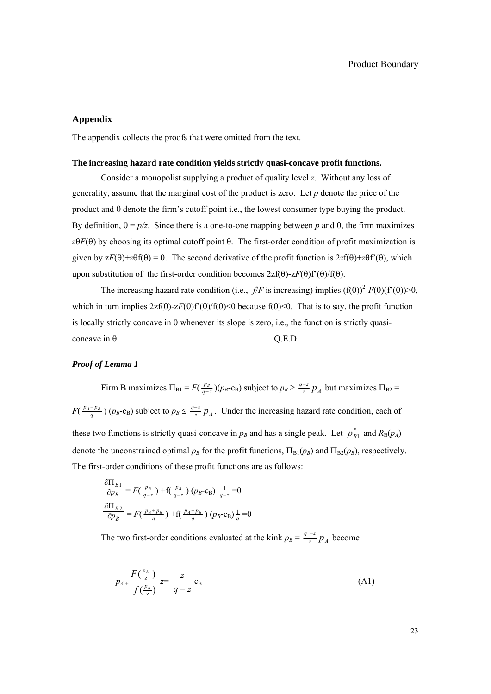## **Appendix**

The appendix collects the proofs that were omitted from the text.

#### **The increasing hazard rate condition yields strictly quasi-concave profit functions.**

Consider a monopolist supplying a product of quality level *z*. Without any loss of generality, assume that the marginal cost of the product is zero. Let *p* denote the price of the product and θ denote the firm's cutoff point i.e., the lowest consumer type buying the product. By definition,  $θ = p/z$ . Since there is a one-to-one mapping between *p* and  $θ$ , the firm maximizes *z*θ*F*(θ) by choosing its optimal cutoff point θ. The first-order condition of profit maximization is given by  $zF(\theta)+z\theta f(\theta) = 0$ . The second derivative of the profit function is  $2zf(\theta)+z\theta f'(\theta)$ , which upon substitution of the first-order condition becomes  $2zf(\theta)-zF(\theta)f'(\theta)/f(\theta)$ .

The increasing hazard rate condition (i.e.,  $-f/F$  is increasing) implies  $(f(\theta))^2 - F(\theta)(f'(\theta)) > 0$ , which in turn implies  $2zf(\theta)-zF(\theta)f'(\theta)/f(\theta) < 0$  because  $f(\theta) < 0$ . That is to say, the profit function is locally strictly concave in  $\theta$  whenever its slope is zero, i.e., the function is strictly quasi $concave in  $\theta$ . O. E.D$ 

### *Proof of Lemma 1*

Firm B maximizes  $\Pi_{B1} = F(\frac{p_B}{q-z})(p_B - c_B)$  subject to  $p_B \geq \frac{q-z}{z} p_A$  but maximizes  $\Pi_{B2} =$  $F(\frac{p_A+p_B}{q})$  ( $p_B$ -c<sub>B</sub>) subject to  $p_B \leq \frac{q-z}{z} p_A$ . Under the increasing hazard rate condition, each of these two functions is strictly quasi-concave in  $p_B$  and has a single peak. Let  $p_{B1}^*$  and  $R_B(p_A)$ denote the unconstrained optimal  $p_B$  for the profit functions,  $\Pi_B(p_B)$  and  $\Pi_B(p_B)$ , respectively. The first-order conditions of these profit functions are as follows:

$$
\frac{\partial \Pi_{B1}}{\partial p_B} = F\left(\frac{p_B}{q-z}\right) + f\left(\frac{p_B}{q-z}\right) (p_B - c_B) \frac{1}{q-z} = 0
$$

$$
\frac{\partial \Pi_{B2}}{\partial p_B} = F\left(\frac{p_A + p_B}{q}\right) + f\left(\frac{p_A + p_B}{q}\right) (p_B - c_B) \frac{1}{q} = 0
$$

The two first-order conditions evaluated at the kink  $p_B = \frac{q-z}{z} p_A$  become

$$
p_{A} + \frac{F(\frac{p_{A}}{z})}{f(\frac{p_{A}}{z})} = \frac{z}{q-z} c_{B}
$$
 (A1)

23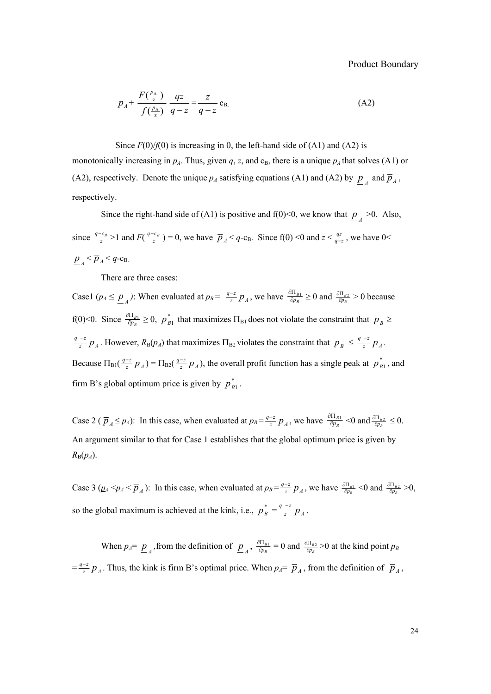Product Boundary

$$
p_A + \frac{F(\frac{p_A}{z})}{f(\frac{p_A}{z})} \frac{qz}{q-z} = \frac{z}{q-z} c_B,
$$
 (A2)

Since  $F(\theta)/f(\theta)$  is increasing in  $\theta$ , the left-hand side of (A1) and (A2) is monotonically increasing in  $p_A$ . Thus, given  $q$ ,  $z$ , and  $c_B$ , there is a unique  $p_A$  that solves (A1) or (A2), respectively. Denote the unique  $p_A$  satisfying equations (A1) and (A2) by  $p_A$  and  $\overline{p}_A$ , respectively.

Since the right-hand side of (A1) is positive and  $f(\theta) < 0$ , we know that  $p \neq 0$ . Also, since  $\frac{q - c_B}{z} > 1$  and  $F(\frac{q - c_B}{z}) = 0$ , we have  $\overline{p}_A < q$ -c<sub>B</sub>. Since  $f(\theta) < 0$  and  $z < \frac{qz}{q - z}$ , we have  $0 <$  $p_A < \overline{p}_A < q$ -c<sub>B.</sub>

There are three cases:

Case1 ( $p_A \le \underline{p}_A$ ): When evaluated at  $p_B = \frac{q-z}{z} p_A$ , we have  $\frac{\partial \Pi_{B1}}{\partial p_B} \ge 0$  and  $\frac{\partial \Pi_{B2}}{\partial p_B} > 0$  because f( $\theta$ )<0. Since  $\frac{\partial \Pi_{B_1}}{\partial p_B} \ge 0$ ,  $p_{B_1}^*$  that maximizes  $\Pi_{B_1}$  does not violate the constraint that  $p_B \ge$ *z A*  $\frac{q-z}{z} p_A$ . However,  $R_B(p_A)$  that maximizes  $\Pi_{B2}$  violates the constraint that  $p_B \leq \frac{q-z}{z} p_A$ . Because  $\Pi_{\text{B1}}(\frac{q-z}{z}p_A) = \Pi_{\text{B2}}(\frac{q-z}{z}p_A)$ , the overall profit function has a single peak at  $p_{B1}^*$ , and firm B's global optimum price is given by  $p_{B1}^*$ .

Case 2 ( $\overline{p}_A \leq p_A$ ): In this case, when evaluated at  $p_B = \frac{q-z}{z} p_A$ , we have  $\frac{\partial \Pi_{B1}}{\partial p_B}$  < 0 and  $\frac{\partial \Pi_{B2}}{\partial p_B} \leq 0$ . An argument similar to that for Case 1 establishes that the global optimum price is given by  $R_{\rm B}(p_A)$ .

Case 3 ( $p_A \leq p_A \leq \overline{p}_A$ ): In this case, when evaluated at  $p_B = \frac{q-z}{z} p_A$ , we have  $\frac{\partial \Pi_{B1}}{\partial p_B} \leq 0$  and  $\frac{\partial \Pi_{B2}}{\partial p_B} > 0$ , so the global maximum is achieved at the kink, i.e.,  $p_B^* = \frac{q-z}{z} p_A$ .

When  $p_A = \underline{p}_A$ , from the definition of  $\underline{p}_A$ ,  $\frac{\partial \Pi_{B1}}{\partial p_B} = 0$  and  $\frac{\partial \Pi_{B2}}{\partial p_B} > 0$  at the kind point  $p_B$  $=\frac{q-z}{z} p_A$ . Thus, the kink is firm B's optimal price. When  $p_A = \overline{p}_A$ , from the definition of  $\overline{p}_A$ ,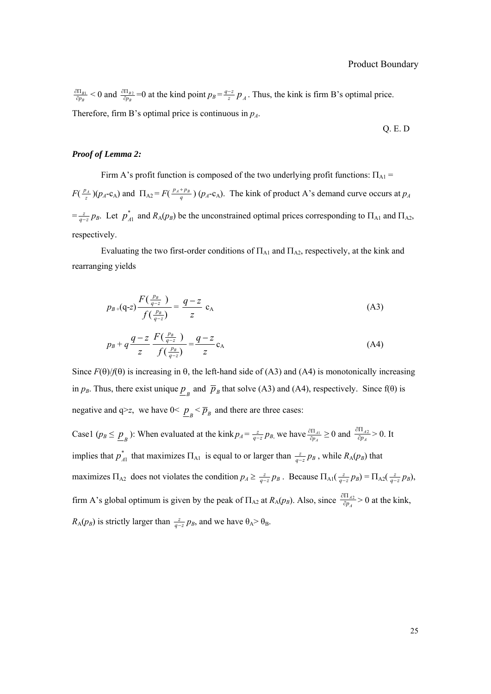*B*  $\frac{\partial \Pi_{B1}}{\partial p_B}$  < 0 and  $\frac{\partial \Pi_{B2}}{\partial p_B}$  =0 at the kind point  $p_B = \frac{q-z}{z} p_A$ . Thus, the kink is firm B's optimal price. Therefore, firm B's optimal price is continuous in  $p_A$ .

Q. E. D

## *Proof of Lemma 2:*

Firm A's profit function is composed of the two underlying profit functions:  $\Pi_{\rm Al}$  =  $F(\frac{p_A}{z})(p_A - c_A)$  and  $\Pi_{A2} = F(\frac{p_A + p_B}{q})(p_A - c_A)$ . The kink of product A's demand curve occurs at  $p_A$  $=\frac{z}{q-z} p_B$ . Let  $p_{A1}^*$  and  $R_A(p_B)$  be the unconstrained optimal prices corresponding to  $\Pi_{A1}$  and  $\Pi_{A2}$ , respectively.

Evaluating the two first-order conditions of  $\Pi_{A1}$  and  $\Pi_{A2}$ , respectively, at the kink and rearranging yields

$$
p_{B+}(q-z)\frac{F(\frac{p_B}{q-z})}{f(\frac{p_B}{q-z})} = \frac{q-z}{z} c_A
$$
 (A3)

$$
p_B + q \frac{q-z}{z} \frac{F(\frac{p_B}{q-z})}{f(\frac{p_B}{q-z})} = \frac{q-z}{z} c_A
$$
 (A4)

Since  $F(\theta)/f(\theta)$  is increasing in  $\theta$ , the left-hand side of (A3) and (A4) is monotonically increasing in  $p_B$ . Thus, there exist unique  $\underline{p}_B$  and  $\overline{p}_B$  that solve (A3) and (A4), respectively. Since f( $\theta$ ) is negative and  $q \ge z$ , we have  $0 \le p_{B} \le \overline{p}_{B}$  and there are three cases:

Case1 ( $p_B \le \underline{p}_B$ ): When evaluated at the kink  $p_A = \frac{z}{q-z} p_B$ , we have  $\frac{\partial \Pi_{A1}}{\partial p_A}$  $\frac{\partial \Pi_{A1}}{\partial p_A} \ge 0$  and  $\frac{\partial \Pi_{A2}}{\partial p_A}$  $\frac{\partial \Pi_{A2}}{\partial p_A} > 0$ . It implies that  $p_{A1}^*$  that maximizes  $\Pi_{A1}$  is equal to or larger than  $\frac{z}{q-z}p_B$ , while  $R_A(p_B)$  that maximizes  $\Pi_{A2}$  does not violates the condition  $p_A \geq \frac{z}{q-z} p_B$ . Because  $\Pi_{A1}(\frac{z}{q-z} p_B) = \Pi_{A2}(\frac{z}{q-z} p_B)$ , firm A's global optimum is given by the peak of  $\Pi_{A2}$  at  $R_A(p_B)$ . Also, since  $\frac{\partial \Pi_{A2}}{\partial p_A}$  $rac{\partial \Pi_{A2}}{\partial p_A}$  > 0 at the kink,  $R_A(p_B)$  is strictly larger than  $\frac{z}{q-z}p_B$ , and we have  $\theta_A > \theta_B$ .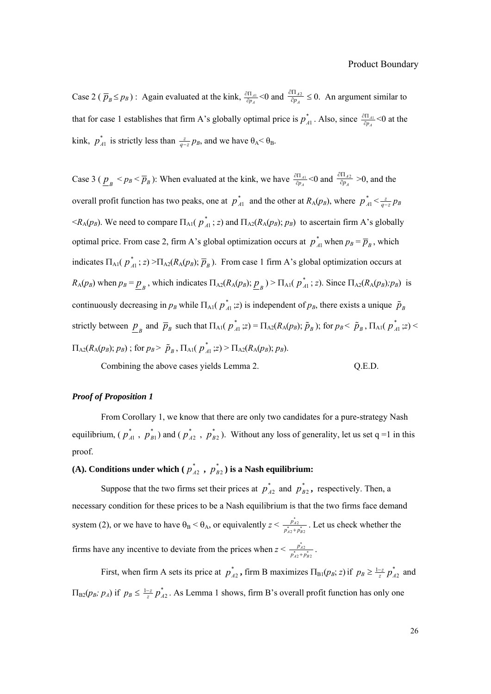Case 2 ( $\bar{p}_B \le p_B$ ) : Again evaluated at the kink,  $\frac{\partial \Pi_{A1}}{\partial p_A}$  $\frac{\partial \Pi_{A1}}{\partial p_A}$  < 0 and  $\frac{\partial \Pi_{A2}}{\partial p_A}$  $\frac{\partial \Pi_{A2}}{\partial p_A} \leq 0$ . An argument similar to that for case 1 establishes that firm A's globally optimal price is  $p_{A1}^*$ . Also, since  $\frac{\partial \Pi_{A1}}{\partial p_A}$  $\frac{\partial \Pi_{A1}}{\partial p_A}$ <0 at the kink,  $p_{A1}^*$  is strictly less than  $\frac{z}{q-z}p_B$ , and we have  $\theta_A < \theta_B$ .

Case 3 ( $\underline{p}_B < p_B < \overline{p}_B$ ): When evaluated at the kink, we have  $\frac{\partial \Pi_{A1}}{\partial p_A}$  $\frac{\partial \Pi_{A1}}{\partial p_A}$  < 0 and  $\frac{\partial \Pi_{A2}}{\partial p_A}$  $\frac{\partial \Pi_{A2}}{\partial p_A} > 0$ , and the overall profit function has two peaks, one at  $p_{A1}^*$  and the other at  $R_A(p_B)$ , where  $p_{A1}^* < \frac{z}{q-z} p_B$  $\lt R_A(p_B)$ . We need to compare  $\Pi_{A1}(p_A^*; z)$  and  $\Pi_{A2}(R_A(p_B); p_B)$  to ascertain firm A's globally optimal price. From case 2, firm A's global optimization occurs at  $p_{A1}^*$  when  $p_B = \overline{p}_B$ , which indicates  $\Pi_{A1}(p_{A1}^*; z) > \Pi_{A2}(R_A(p_B); \overline{p}_B)$ . From case 1 firm A's global optimization occurs at  $R_A(p_B)$  when  $p_B = \underline{p}_B$ , which indicates  $\Pi_{A2}(R_A(p_B); \underline{p}_B) > \Pi_{A1}(p_{A1}^*; z)$ . Since  $\Pi_{A2}(R_A(p_B); p_B)$  is continuously decreasing in  $p_B$  while  $\Pi_{A1}(p_A^*; z)$  is independent of  $p_B$ , there exists a unique  $\tilde{p}_B$ strictly between  $\underline{p}_B$  and  $\overline{p}_B$  such that  $\Pi_{A1}(p_{A1}^*;z) = \Pi_{A2}(R_A(p_B); \tilde{p}_B)$ ; for  $p_B < \tilde{p}_B$ ,  $\Pi_{A1}(p_{A1}^*;z) <$  $\Pi_{A2}(R_A(p_B); p_B)$ ; for  $p_B > \tilde{p}_B$ ,  $\Pi_{A1}(p_{A1}^*; z) > \Pi_{A2}(R_A(p_B); p_B)$ .

Combining the above cases yields Lemma 2.  $Q.E.D.$ 

#### *Proof of Proposition 1*

From Corollary 1, we know that there are only two candidates for a pure-strategy Nash equilibrium,  $(p_{A1}^*$ ,  $p_{B1}^*$ ) and  $(p_{A2}^*$ ,  $p_{B2}^*$ ). Without any loss of generality, let us set q =1 in this proof.

# (A). Conditions under which ( $p_{A2}^*$ ,  $p_{B2}^*$ ) is a Nash equilibrium:

Suppose that the two firms set their prices at  $p_{A2}^*$  and  $p_{B2}^*$ , respectively. Then, a necessary condition for these prices to be a Nash equilibrium is that the two firms face demand system (2), or we have to have  $\theta_B < \theta_A$ , or equivalently  $z < \frac{p_{A2}^*}{p_{A2}^* + p_{B2}^*}$ *A A B*  $\frac{\vec{p}_{A2}}{\vec{p}_{A2} + \vec{p}_{B2}}$ . Let us check whether the firms have any incentive to deviate from the prices when  $z < \frac{p_{A2}^*}{p_{A2}^* + p_{B2}^*}$ *A*  $A2 + P_B$  $\frac{p_{A2}^*}{p_{A2}^* + p_{B2}^*}$ .

First, when firm A sets its price at  $p_{A2}^*$ , firm B maximizes  $\Pi_{B1}(p_B; z)$  if  $p_B \ge \frac{1-z}{z} p_{A2}^*$  and  $\Pi_{B2}(p_B; p_A)$  if  $p_B \leq \frac{1-z}{z} p_{A2}^*$ . As Lemma 1 shows, firm B's overall profit function has only one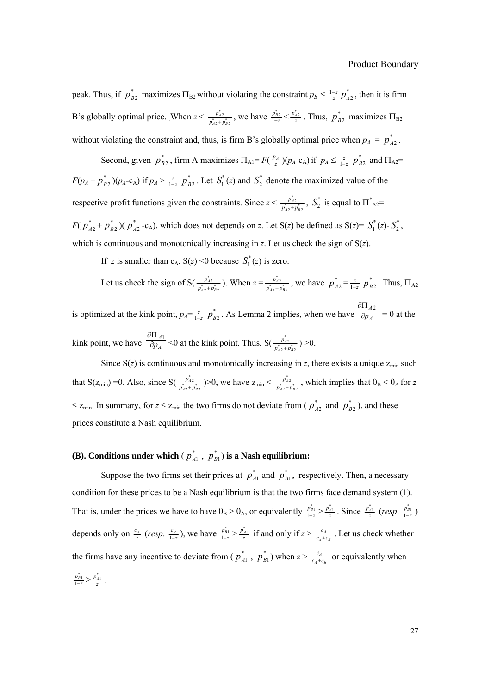peak. Thus, if  $p_{B2}^*$  maximizes  $\Pi_{B2}$  without violating the constraint  $p_B \leq \frac{1-z}{z} p_{A2}^*$ , then it is firm B's globally optimal price. When  $z < \frac{p_{A2}^2}{p_{A2}^2 + p_{B2}^2}$ *A A B*  $\frac{p_{A2}^*}{p_{A2}^* + p_{B2}^*}$ , we have  $\frac{p_{B2}^*}{1-z} < \frac{p_{A2}^*}{z}$ . Thus,  $p_{B2}^*$  maximizes  $\Pi_{B2}$ without violating the constraint and, thus, is firm B's globally optimal price when  $p_A = p_{A2}^*$ .

Second, given  $p_{B2}^*$ , firm A maximizes  $\Pi_{A1} = F(\frac{p_A}{z})(p_A - c_A)$  if  $p_A \leq \frac{z}{1-z}$  $p_{B2}^*$  and  $\Pi_{A2}$ = *F*( $p_A + p_{B2}^*$ )( $p_A$ -c<sub>A</sub>) if  $p_A > \frac{z}{1-z}$  $p_{B2}^*$ . Let  $S_1^*(z)$  and  $S_2^*$  denote the maximized value of the respective profit functions given the constraints. Since  $z < \frac{p_{A2}^*}{p_{A2}^* + p_{B2}^*}$ *A A B*  $\frac{p_{A2}^*}{p_{A2}^* + p_{B2}^*}$ ,  $S_2^*$  is equal to  $\Pi_{A2}^* =$ *F*( $p_{A2}^* + p_{B2}^*$ )( $p_{A2}^*$ -c<sub>A</sub>), which does not depends on *z*. Let S(*z*) be defined as S(*z*)=  $S_1^*(z)$ - $S_2^*$ , which is continuous and monotonically increasing in *z*. Let us check the sign of S(*z*).

If *z* is smaller than  $c_A$ ,  $S(z) < 0$  because  $S_1^*(z)$  is zero.

Let us check the sign of S(
$$
\frac{p_{A2}^*}{p_{A2}^* + p_{B2}^*}
$$
). When  $z = \frac{p_{A2}^*}{p_{A2}^* + p_{B2}^*}$ , we have  $p_{A2}^* = \frac{z}{1-z} p_{B2}^*$ . Thus,  $\Pi_{A2}$ 

is optimized at the kink point,  $p_A = \frac{z}{1-z}$  $p_{B2}^*$ . As Lemma 2 implies, when we have  $\frac{\partial H_{A2}^*}{\partial p_A}$ *A p* ∂Π  $\overline{\partial p_A}$  = 0 at the kink point, we have  $\frac{\partial \Pi_A}{\partial p_A}$  $\frac{\partial \Pi_{A1}}{\partial p_A}$  <0 at the kink point. Thus, S( $\frac{p_{A2}^*}{p_{A2}^* + p_{B2}^*}$ *A A B*  $\frac{p_{A2}^*}{p_{A2}^* + p_{B2}^*}$ ) >0.

Since  $S(z)$  is continuous and monotonically increasing in *z*, there exists a unique  $z_{\text{min}}$  such that S( $z_{\text{min}}$ ) = 0. Also, since S( $\frac{p_{A2}^{*}}{p_{A2}^{*}+p_{B2}^{*}}$ *A A B*  $\frac{p_{A2}^*}{p_{A2}^* + p_{B2}^*}$  > 0, we have  $z_{\text{min}} < \frac{p_{A2}^*}{p_{A2}^* + p_{B2}^*}$ *A A B*  $\frac{\vec{p}_{A2}}{\vec{p}_{A2}^* + \vec{p}_{B2}^*}$ , which implies that  $\theta_B < \theta_A$  for *z*  $\leq$  z<sub>min</sub>. In summary, for  $z \leq z_{\text{min}}$  the two firms do not deviate from ( $p_{A2}^{*}$  and  $p_{B2}^{*}$ ), and these prices constitute a Nash equilibrium.

# **(B).** Conditions under which  $(p_{A1}^*, p_{B1}^*)$  is a Nash equilibrium:

Suppose the two firms set their prices at  $p_{A1}^*$  and  $p_{B1}^*$ , respectively. Then, a necessary condition for these prices to be a Nash equilibrium is that the two firms face demand system (1). That is, under the prices we have to have  $\theta_B > \theta_A$ , or equivalently  $\frac{p_{B1}^*}{1-z} > \frac{p_{A1}^*}{z}$ . Since  $\frac{p_{A1}^*}{z}$  (*resp.*  $\frac{p_{B1}^*}{1-z}$ ) depends only on  $\frac{c_A}{z}$  (*resp.*  $\frac{c_B}{1-z}$ ), we have  $\frac{p_{B1}^2}{1-z} > \frac{p_{A1}^2}{z}$  if and only if  $z > \frac{c_A}{c_A+c_B}$  $\frac{c_A}{c_A+c_B}$ . Let us check whether the firms have any incentive to deviate from ( $p_{A1}^*$ ,  $p_{B1}^*$ ) when  $z > \frac{c_A}{c_A+c_B}$  $\frac{c_4}{c_4+c_8}$  or equivalently when  $\frac{p_{B1}^*}{1-z} > \frac{p_{A1}^*}{z}$ .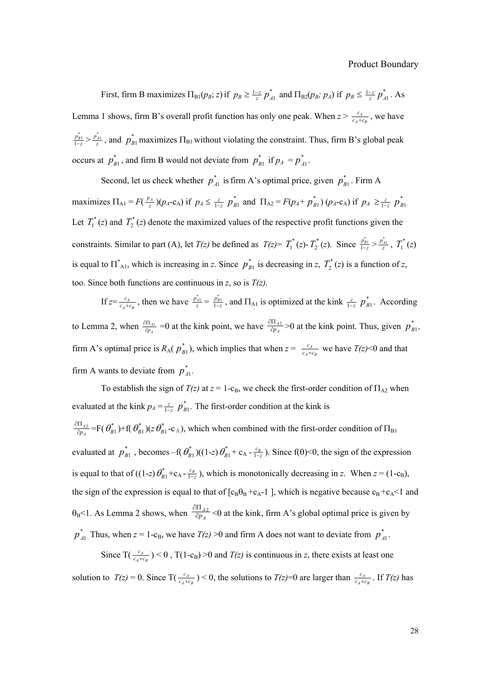First, firm B maximizes  $\Pi_{B1}(p_B; z)$  if  $p_B \ge \frac{1-z}{z} p_{A1}^*$  and  $\Pi_{B2}(p_B; p_A)$  if  $p_B \le \frac{1-z}{z} p_{A1}^*$ . As Lemma 1 shows, firm B's overall profit function has only one peak. When  $z > \frac{c_A}{c_A+c_B}$  $\frac{c_A}{c_A + c_B}$ , we have  $\frac{p_{B1}^*}{1-z} > \frac{p_{A1}^*}{z}$ , and  $p_{B1}^*$  maximizes  $\Pi_{B1}$  without violating the constraint. Thus, firm B's global peak occurs at  $p_{B1}^*$ , and firm B would not deviate from  $p_{B1}^*$  if  $p_A = p_{A1}^*$ .

Second, let us check whether  $p_{A1}^*$  is firm A's optimal price, given  $p_{B1}^*$ . Firm A maximizes  $\Pi_{A1} = F(\frac{p_A}{z})(p_A - c_A)$  if  $p_A \leq \frac{z}{1-z}$  $p_{B1}^*$  and  $\Pi_{A2} = F(p_A + p_{B1}^*) (p_A - c_A)$  if  $p_A \ge \frac{z}{1-z}$  $p_{\scriptscriptstyle{B1}}^{*}$  . Let  $T_1^*(z)$  and  $T_2^*(z)$  denote the maximized values of the respective profit functions given the constraints. Similar to part (A), let *T(z)* be defined as  $T(z) = T_1^*(z) - T_2^*(z)$ . Since  $\frac{p_{B1}^*}{1-z} > \frac{p_{A1}^*}{z}$ ,  $T_1^*(z)$ is equal to  $\Pi_{\text{Al}}^{*}$ , which is increasing in *z*. Since  $p_{B1}^{*}$  is decreasing in *z*,  $T_{2}^{*}(z)$  is a function of *z*, too. Since both functions are continuous in *z*, so is *T(z)*.

 $\int \int_{\mathcal{L}} f(z) dz = \frac{c_A}{c_A + c_B}$  $\frac{c_A}{c_A+c_B}$ , then we have  $\frac{p_{A1}^*}{z} = \frac{p_{B1}^*}{1-z}$ , and  $\Pi_{A1}$  is optimized at the kink  $\frac{z}{1-z}$  $p_{B1}^*$ . According to Lemma 2, when  $\frac{\partial H_{A1}}{\partial p_A}$  $\frac{\partial \Pi_{A1}}{\partial p_A}$  =0 at the kink point, we have  $\frac{\partial \Pi_{A2}}{\partial p_A}$  $\frac{\partial \Pi_{A2}}{\partial p_A}$  >0 at the kink point. Thus, given  $p_{B1}^*$ , firm A's optimal price is  $R_A(p_{B_1}^*)$ , which implies that when  $z = \frac{c_A}{c_A+c_B}$  $\frac{c_A}{c_A+c_B}$  we have  $T(z)$  < 0 and that firm A wants to deviate from  $p_{A1}^*$ .

To establish the sign of  $T(z)$  at  $z = 1$ -c<sub>B</sub>, we check the first-order condition of  $\Pi_{A2}$  when evaluated at the kink  $p_A = \frac{z}{1-z}$  $p_{B1}^*$ . The first-order condition at the kink is  $\frac{1}{p_A}$  $\frac{\partial \Pi_{A2}}{\partial p_A}$  =F( $\theta_{B1}^*$ )+f( $\theta_{B1}^*$ )( $z \theta_{B1}^*$ -c<sub>A</sub>), which when combined with the first-order condition of  $\Pi_{B1}$ evaluated at  $p_{B1}^*$ , becomes –f( $\theta_{B1}^*$ )((1-*z*)  $\theta_{B1}^*$  + c<sub>A</sub> -  $\frac{c_B}{1-z}$ ). Since f( $\theta$ )<0, the sign of the expression is equal to that of  $((1-z)\theta_{B1}^*+c_A-\frac{c_B}{1-z})$ , which is monotonically decreasing in *z*. When  $z = (1-c_B)$ , the sign of the expression is equal to that of  $[c_B\theta_B + c_A-1]$ , which is negative because  $c_B + c_A < 1$  and  $\theta_B$ <1. As Lemma 2 shows, when  $\frac{\partial \Pi_{A2}}{\partial p_A}$  <0 at the kink, firm A's global optimal price is given by  $p_{A1}^*$ . Thus, when  $z = 1$ -c<sub>B</sub>, we have  $T(z) > 0$  and firm A does not want to deviate from  $p_{A1}^*$ .

Since T( $\frac{c_A}{c_A+c_B}$  $\frac{c_4}{c_4+c_8}$   $\geq 0$ , T(1-c<sub>B</sub>)  $\geq 0$  and  $T(z)$  is continuous in *z*, there exists at least one solution to  $T(z) = 0$ . Since  $T(\frac{c_4}{c_A + c_B})$  $\frac{c_4}{c_4+c_8}$ ) < 0, the solutions to *T(z)*=0 are larger than  $\frac{c_4}{c_4+c_8}$  $\frac{c_A}{c_A+c_B}$ . If *T(z)* has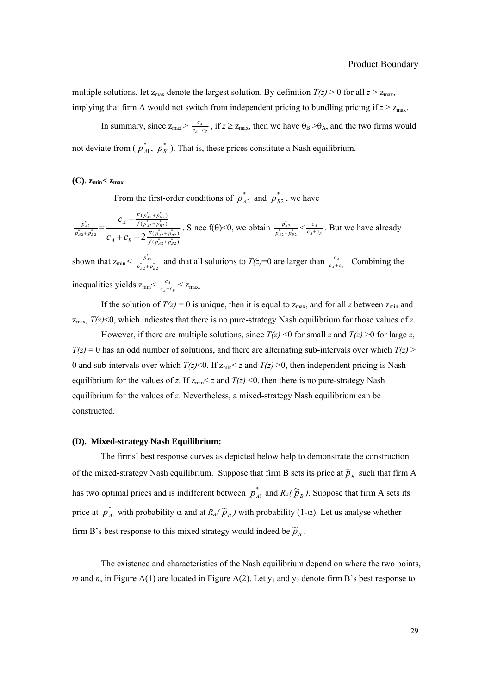multiple solutions, let  $z_{\text{max}}$  denote the largest solution. By definition  $T(z) > 0$  for all  $z > z_{\text{max}}$ , implying that firm A would not switch from independent pricing to bundling pricing if  $z > z_{\text{max}}$ .

In summary, since  $z_{\text{max}} > \frac{c_A}{c_A + c_B}$  $\frac{c_A}{c_A+c_B}$ , if  $z \ge z_{\text{max}}$ , then we have  $\theta_B > \theta_A$ , and the two firms would not deviate from ( $p_{A1}^*$ ,  $p_{B1}^*$ ). That is, these prices constitute a Nash equilibrium.

#### $(C)$ .  $z_{\text{min}} < z_{\text{max}}$

From the first-order conditions of  $p_{A2}^*$  and  $p_{B2}^*$ , we have

$$
\frac{p_{A2}^*}{p_{A2}^* + p_{B2}^*} = \frac{C_A - \frac{F(p_{A2}^* + p_{B2}^*)}{f(p_{A2}^* + p_{B2}^*)}}{C_A + C_B - 2\frac{F(p_{A2}^* + p_{B2}^*)}{f(p_{A2}^* + p_{B2}^*)}}. \text{ Since } f(\theta) < 0, \text{ we obtain } \frac{p_{A2}^*}{p_{A2}^* + p_{B2}^*} < \frac{c_A}{c_A + c_B}. \text{ But we have already}
$$

shown that  $z_{\min} < \frac{p_{A2}^*}{p_{A2}^* + p_{B2}^*}$ *A A B*  $\frac{p_{A2}}{p_{A2}^* + p_{B2}^*}$  and that all solutions to *T(z)*=0 are larger than  $\frac{c_A}{c_A+c_B}$  $\frac{c_A}{c_A+c_B}$ . Combining the inequalities yields  $z_{\text{min}} < \frac{c_A}{c_A + c_B}$  $\frac{c_A}{c_A + c_B}$  <  $z_{\text{max}}$ .

If the solution of  $T(z) = 0$  is unique, then it is equal to  $z_{\text{max}}$ , and for all *z* between  $z_{\text{min}}$  and  $z_{\text{max}}$ ,  $T(z)$  <0, which indicates that there is no pure-strategy Nash equilibrium for those values of *z*.

However, if there are multiple solutions, since  $T(z) < 0$  for small *z* and  $T(z) > 0$  for large *z*,  $T(z) = 0$  has an odd number of solutions, and there are alternating sub-intervals over which  $T(z)$ 0 and sub-intervals over which  $T(z)$  < 0. If  $z_{\text{min}}$  < *z* and  $T(z)$  > 0, then independent pricing is Nash equilibrium for the values of *z*. If  $z_{\text{min}} < z$  and  $T(z) < 0$ , then there is no pure-strategy Nash equilibrium for the values of *z*. Nevertheless, a mixed-strategy Nash equilibrium can be constructed.

#### **(D). Mixed-strategy Nash Equilibrium:**

The firms' best response curves as depicted below help to demonstrate the construction of the mixed-strategy Nash equilibrium. Suppose that firm B sets its price at  $\tilde{p}_B$  such that firm A has two optimal prices and is indifferent between  $p_{A1}^*$  and  $R_A(\tilde{p}_B)$ . Suppose that firm A sets its price at  $p_{A1}^*$  with probability α and at  $R_A(\tilde{p}_B)$  with probability (1-α). Let us analyse whether firm B's best response to this mixed strategy would indeed be  $\widetilde{p}_B$ .

The existence and characteristics of the Nash equilibrium depend on where the two points, *m* and *n*, in Figure A(1) are located in Figure A(2). Let  $y_1$  and  $y_2$  denote firm B's best response to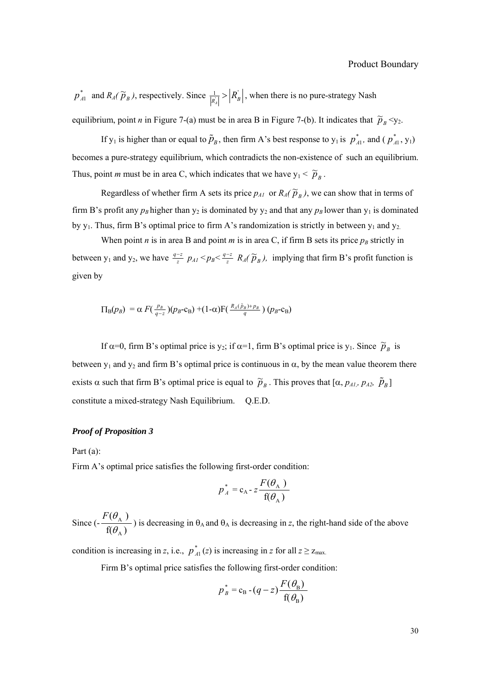$p_{A1}^*$  and  $R_A(\widetilde{p}_B)$ , respectively. Since  $\frac{1}{|R_A|} > |R_B|$ , when there is no pure-strategy Nash equilibrium, point *n* in Figure 7-(a) must be in area B in Figure 7-(b). It indicates that  $\tilde{p}_B < y_2$ .

If  $y_1$  is higher than or equal to  $\tilde{p}_B$ , then firm A's best response to  $y_1$  is  $p_{A1}^*$ , and ( $p_{A1}^*$ ,  $y_1$ ) becomes a pure-strategy equilibrium, which contradicts the non-existence of such an equilibrium. Thus, point *m* must be in area C, which indicates that we have  $y_1 < \tilde{p}_B$ .

Regardless of whether firm A sets its price  $p_{AI}$  or  $R_A(\tilde{p}_B)$ , we can show that in terms of firm B's profit any  $p_B$  higher than  $y_2$  is dominated by  $y_2$  and that any  $p_B$  lower than  $y_1$  is dominated by  $y_1$ . Thus, firm B's optimal price to firm A's randomization is strictly in between  $y_1$  and  $y_2$ .

When point *n* is in area B and point *m* is in area C, if firm B sets its price  $p_B$  strictly in between y<sub>1</sub> and y<sub>2</sub>, we have  $\frac{q-z}{z}$   $p_{AI} < p_B < \frac{q-z}{z}$   $R_A(\tilde{p}_B)$ , implying that firm B's profit function is given by

$$
\Pi_{\text{B}}(p_B) = \alpha F(\frac{p_B}{q-z})(p_B-c_B) + (1-\alpha)F(\frac{R_A(\tilde{p}_B)+p_B}{q})(p_B-c_B)
$$

If  $\alpha$ =0, firm B's optimal price is y<sub>2</sub>; if  $\alpha$ =1, firm B's optimal price is y<sub>1</sub>. Since  $\tilde{p}_B$  is between  $y_1$  and  $y_2$  and firm B's optimal price is continuous in  $\alpha$ , by the mean value theorem there exists  $\alpha$  such that firm B's optimal price is equal to  $\tilde{p}_B$ . This proves that  $[\alpha, p_{A1}, p_{A2}, \tilde{p}_B]$ constitute a mixed-strategy Nash Equilibrium. Q.E.D.

### *Proof of Proposition 3*

Part (a):

Firm A's optimal price satisfies the following first-order condition:

$$
p_A^* = c_A - z \frac{F(\theta_A)}{f(\theta_A)}
$$

Since  $\left(-\frac{f(\mathcal{O}_A)}{f(\theta_A)}\right)$  $(\theta_{\tiny A}^{\phantom{\dag}})$ A A θ  $F(\theta)$ ) is decreasing in  $\theta_A$  and  $\theta_A$  is decreasing in *z*, the right-hand side of the above

condition is increasing in *z*, i.e.,  $p_{A1}^{*}(z)$  is increasing in *z* for all  $z \ge z_{\text{max}}$ .

Firm B's optimal price satisfies the following first-order condition:

$$
p_B^* = c_B - (q - z) \frac{F(\theta_B)}{f(\theta_B)}
$$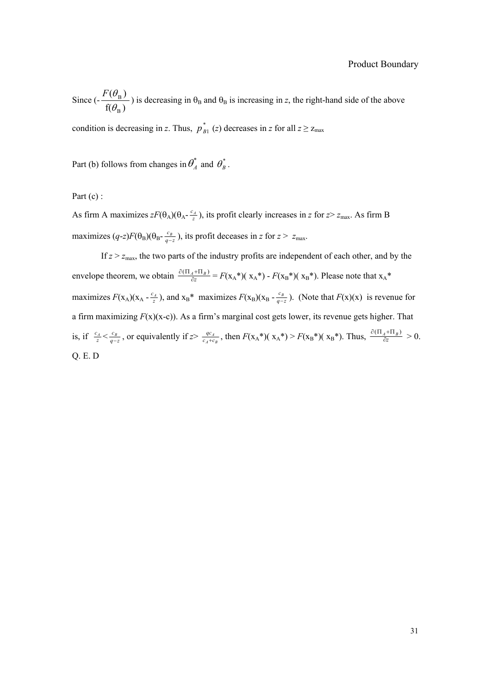Since  $\left(-\frac{f(\theta_B)}{f(\theta_B)}\right)$  $(\theta_{\textrm{\tiny R}})$ B B θ  $F(\theta)$ ) is decreasing in  $\theta_B$  and  $\theta_B$  is increasing in *z*, the right-hand side of the above

condition is decreasing in *z*. Thus,  $p_{B1}^*$  (*z*) decreases in *z* for all  $z \ge z_{\text{max}}$ 

Part (b) follows from changes in  $\theta_A^*$  and  $\theta_B^*$ .

Part (c) :

As firm A maximizes  $zF(\theta_A)(\theta_A - \frac{c_A}{z})$ , its profit clearly increases in *z* for  $z > z_{\text{max}}$ . As firm B maximizes  $(q-z)F(\theta_B)(\theta_B - \frac{c_B}{q-z})$ , its profit deceases in *z* for  $z > z_{\text{max}}$ .

If  $z > z_{\text{max}}$ , the two parts of the industry profits are independent of each other, and by the envelope theorem, we obtain  $\frac{U(1)A + II_B}{\partial z}$  $\frac{\partial(\Pi_A + \Pi_B)}{\partial z} = F(\mathbf{x}_A^*) (\mathbf{x}_A^*) - F(\mathbf{x}_B^*) (\mathbf{x}_B^*)$ . Please note that  $\mathbf{x}_A^*$ maximizes  $F(x_A)(x_A - \frac{c_A}{z})$ , and  $x_B^*$  maximizes  $F(x_B)(x_B - \frac{c_B}{q-z})$ . (Note that  $F(x)(x)$  is revenue for a firm maximizing  $F(x)(x-c)$ ). As a firm's marginal cost gets lower, its revenue gets higher. That is, if  $\frac{c_A}{z} < \frac{c_B}{q-z}$ , or equivalently if  $z > \frac{qc_A}{c_A+c_B}$  $\frac{qc_A}{\sqrt{c_A}}$ , then  $F(\mathbf{x}_A^*)$  ( $\mathbf{x}_A^*$ ) >  $F(\mathbf{x}_B^*)$  ( $\mathbf{x}_B^*$ ). Thus,  $\frac{\partial(\Pi_A + \Pi_B)}{\partial z_A^*}$  $\frac{\partial(\Pi_A + \Pi_B)}{\partial z} > 0.$ Q. E. D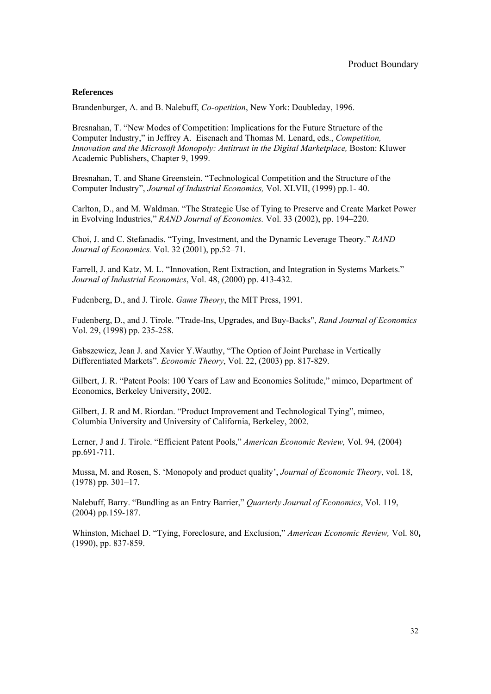#### **References**

Brandenburger, A. and B. Nalebuff, *Co-opetition*, New York: Doubleday, 1996.

Bresnahan, T. "New Modes of Competition: Implications for the Future Structure of the Computer Industry," in Jeffrey A. Eisenach and Thomas M. Lenard, eds., *Competition, Innovation and the Microsoft Monopoly: Antitrust in the Digital Marketplace, Boston: Kluwer* Academic Publishers, Chapter 9, 1999.

Bresnahan, T. and Shane Greenstein. "Technological Competition and the Structure of the Computer Industry", *Journal of Industrial Economics,* Vol. XLVII, (1999) pp.1- 40.

Carlton, D., and M. Waldman. "The Strategic Use of Tying to Preserve and Create Market Power in Evolving Industries," *RAND Journal of Economics.* Vol. 33 (2002), pp. 194–220.

Choi, J. and C. Stefanadis. "Tying, Investment, and the Dynamic Leverage Theory." *RAND Journal of Economics.* Vol. 32 (2001), pp.52–71.

Farrell, J. and Katz, M. L. "Innovation, Rent Extraction, and Integration in Systems Markets." *Journal of Industrial Economics*, Vol. 48, (2000) pp. 413-432.

Fudenberg, D., and J. Tirole. *Game Theory*, the MIT Press, 1991.

Fudenberg, D., and J. Tirole. "Trade-Ins, Upgrades, and Buy-Backs", *Rand Journal of Economics*  Vol. 29, (1998) pp. 235-258.

Gabszewicz, Jean J. and Xavier Y.Wauthy, "The Option of Joint Purchase in Vertically Differentiated Markets". *Economic Theory*, Vol. 22, (2003) pp. 817-829.

Gilbert, J. R. "Patent Pools: 100 Years of Law and Economics Solitude," mimeo, Department of Economics, Berkeley University, 2002.

Gilbert, J. R and M. Riordan. "Product Improvement and Technological Tying", mimeo, Columbia University and University of California, Berkeley, 2002.

Lerner, J and J. Tirole. "Efficient Patent Pools," *American Economic Review,* Vol. 94*,* (2004) pp.691-711.

Mussa, M. and Rosen, S. 'Monopoly and product quality', *Journal of Economic Theory*, vol. 18, (1978) pp. 301–17.

Nalebuff, Barry. "Bundling as an Entry Barrier," *Quarterly Journal of Economics*, Vol. 119, (2004) pp.159-187.

Whinston, Michael D. "Tying, Foreclosure, and Exclusion," *American Economic Review,* Vol. 80**,**  (1990), pp. 837-859.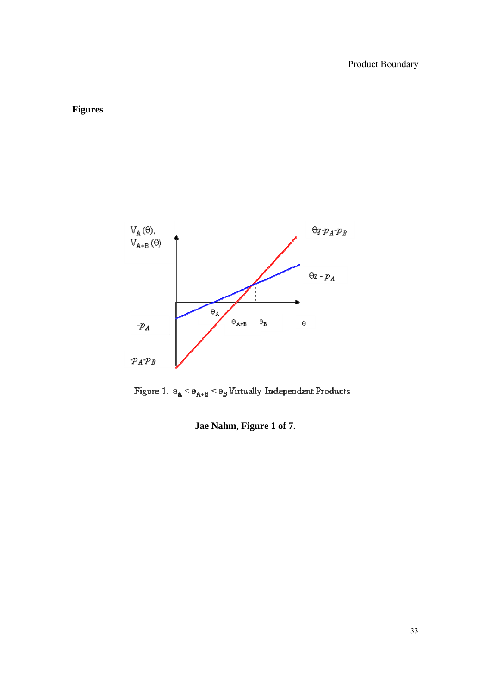# **Figures**



Figure 1.  $\Theta_\mathbb{A}<\Theta_{\mathbb{A}^*\mathbb{B}}<\Theta_\mathbb{B}$  Virtually Independent Products

**Jae Nahm, Figure 1 of 7.**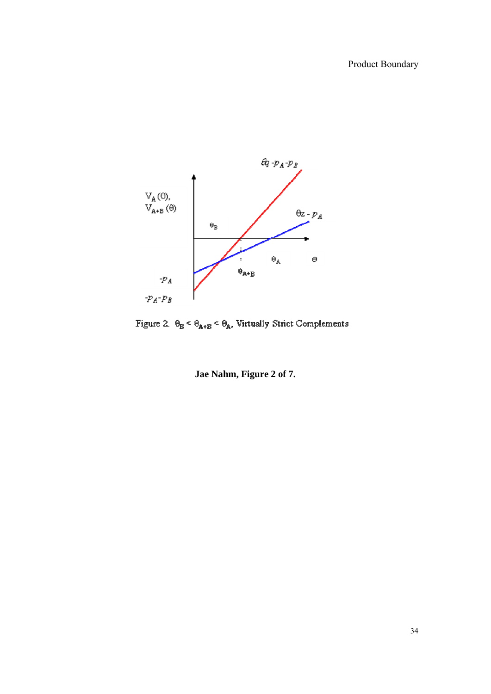

Figure 2.  $\Theta_{\!B} < \Theta_{\!A\texttt{+}B} < \Theta_{\!A}$  . Virtually Strict Complements

**Jae Nahm, Figure 2 of 7.**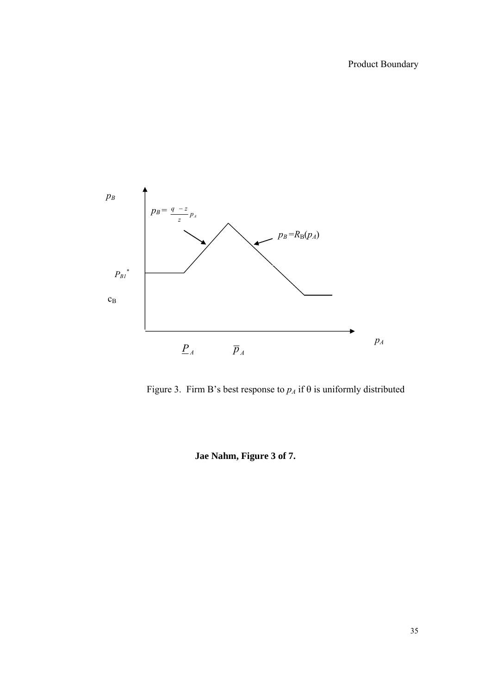

Figure 3. Firm B's best response to  $p_A$  if  $\theta$  is uniformly distributed

**Jae Nahm, Figure 3 of 7.**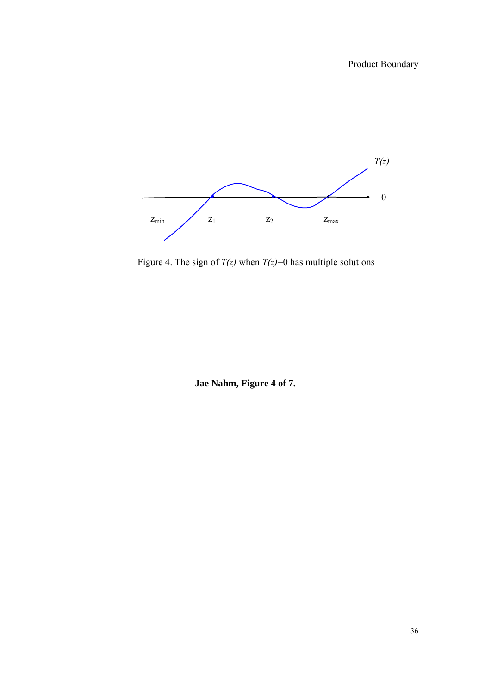

Figure 4. The sign of  $T(z)$  when  $T(z)=0$  has multiple solutions

**Jae Nahm, Figure 4 of 7.**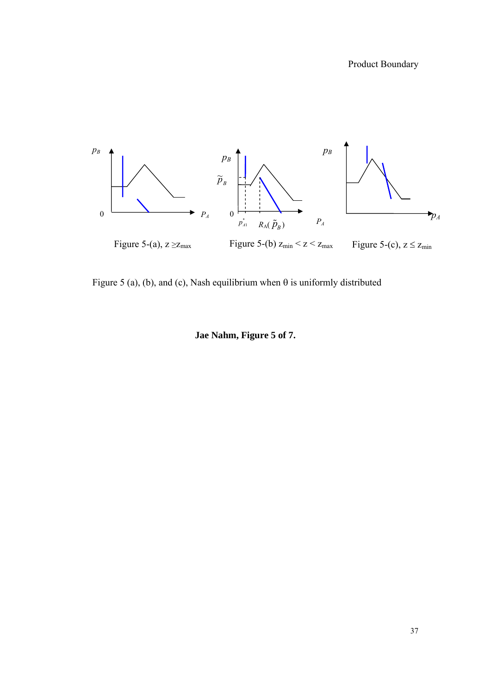

Figure 5 (a), (b), and (c), Nash equilibrium when  $\theta$  is uniformly distributed

# **Jae Nahm, Figure 5 of 7.**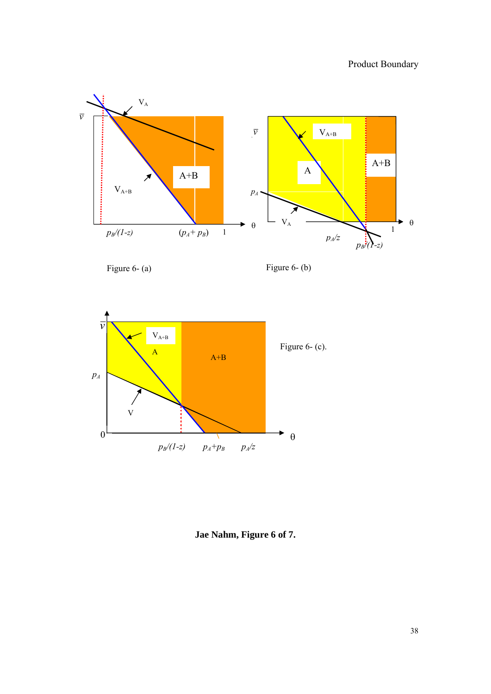

Figure 6- (a)

Figure 6- (b)



**Jae Nahm, Figure 6 of 7.**